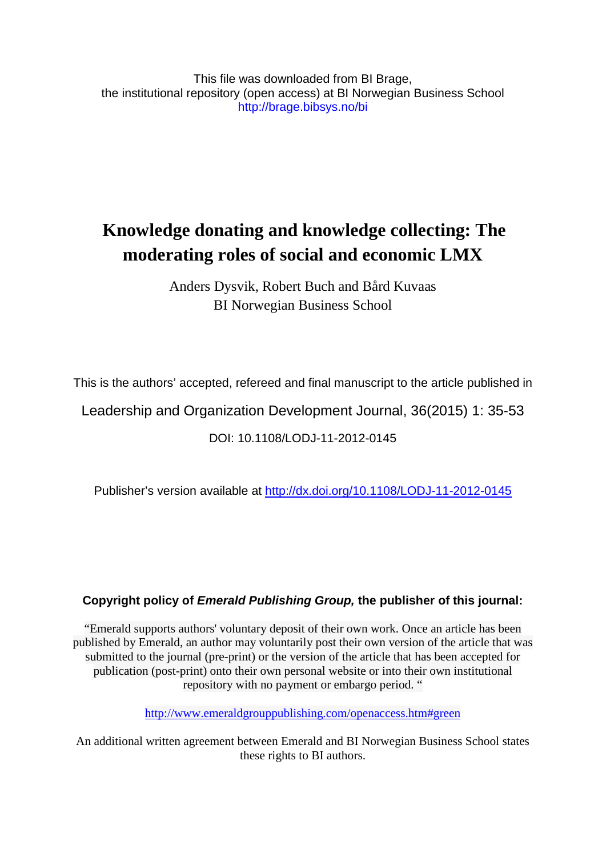This file was downloaded from BI Brage, the institutional repository (open access) at BI Norwegian Business School http://brage.bibsys.no/bi

# **Knowledge donating and knowledge collecting: The moderating roles of social and economic LMX**

Anders Dysvik, Robert Buch and Bård Kuvaas BI Norwegian Business School

This is the authors' accepted, refereed and final manuscript to the article published in

Leadership and Organization Development Journal, 36(2015) 1: 35-53

DOI: 10.1108/LODJ-11-2012-0145

Publisher's version available at [http://dx.doi.org/10.1108/LODJ-11-2012-0145](http://dx.doi.org.ezproxy.library.bi.no/10.1108/LODJ-11-2012-0145)

### **Copyright policy of** *Emerald Publishing Group,* **the publisher of this journal:**

"Emerald supports authors' voluntary deposit of their own work. Once an article has been published by Emerald, an author may voluntarily post their own version of the article that was submitted to the journal (pre-print) or the version of the article that has been accepted for publication (post-print) onto their own personal website or into their own institutional repository with no payment or embargo period. "

[http://www.emeraldgrouppublishing.com/openaccess.htm#green](http://www.emeraldgrouppublishing.com/openaccess.htm%23green)

An additional written agreement between Emerald and BI Norwegian Business School states these rights to BI authors.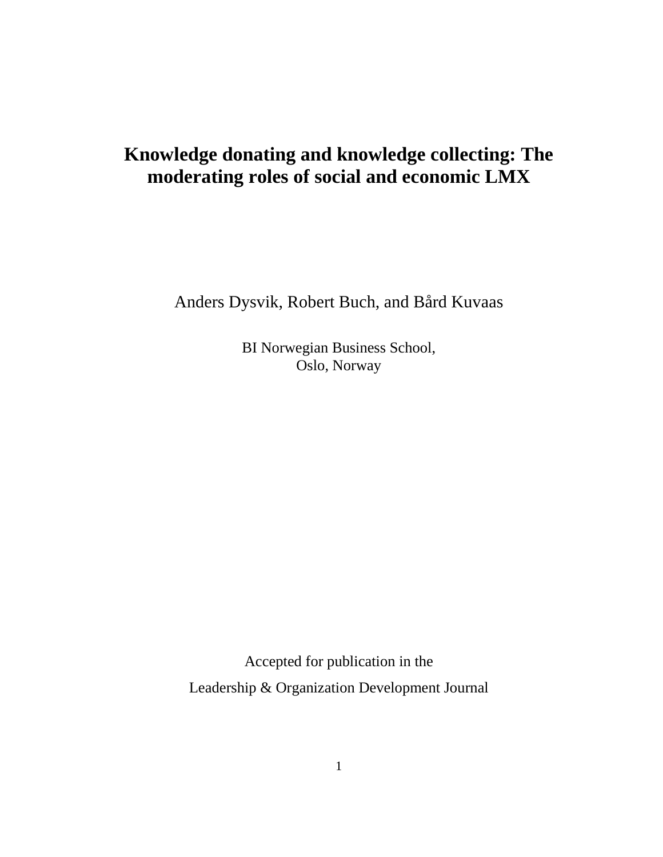# **Knowledge donating and knowledge collecting: The moderating roles of social and economic LMX**

Anders Dysvik, Robert Buch, and Bård Kuvaas

BI Norwegian Business School, Oslo, Norway

Accepted for publication in the Leadership & Organization Development Journal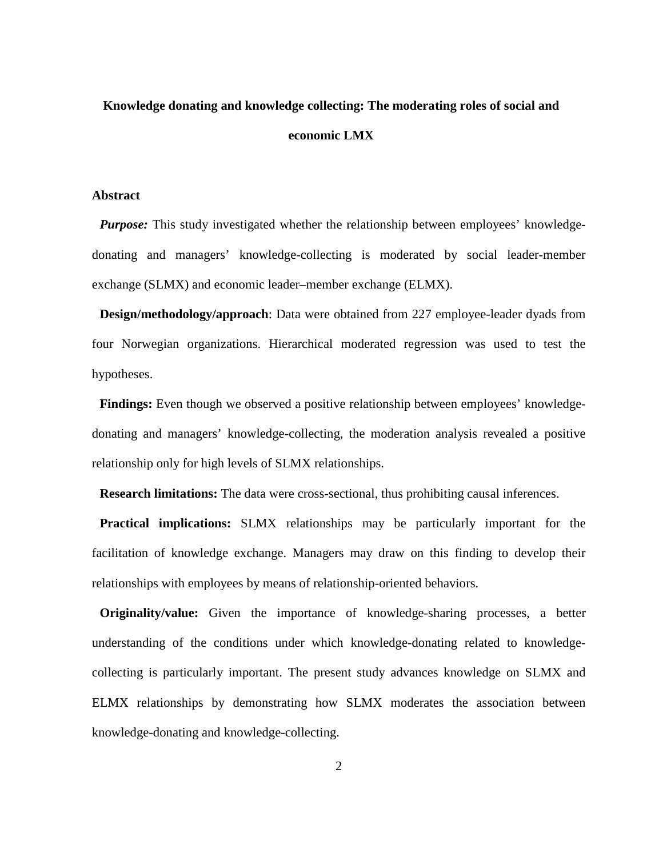# **Knowledge donating and knowledge collecting: The moderating roles of social and economic LMX**

#### **Abstract**

*Purpose:* This study investigated whether the relationship between employees' knowledgedonating and managers' knowledge-collecting is moderated by social leader-member exchange (SLMX) and economic leader–member exchange (ELMX).

**Design/methodology/approach**: Data were obtained from 227 employee-leader dyads from four Norwegian organizations. Hierarchical moderated regression was used to test the hypotheses.

**Findings:** Even though we observed a positive relationship between employees' knowledgedonating and managers' knowledge-collecting, the moderation analysis revealed a positive relationship only for high levels of SLMX relationships.

**Research limitations:** The data were cross-sectional, thus prohibiting causal inferences.

**Practical implications:** SLMX relationships may be particularly important for the facilitation of knowledge exchange. Managers may draw on this finding to develop their relationships with employees by means of relationship-oriented behaviors.

**Originality/value:** Given the importance of knowledge-sharing processes, a better understanding of the conditions under which knowledge-donating related to knowledgecollecting is particularly important. The present study advances knowledge on SLMX and ELMX relationships by demonstrating how SLMX moderates the association between knowledge-donating and knowledge-collecting.

2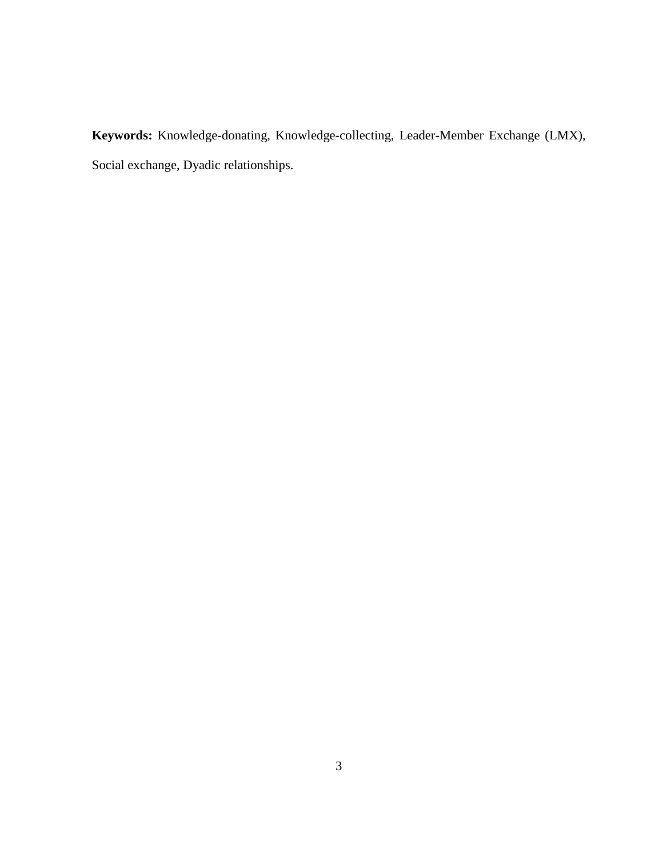**Keywords:** Knowledge-donating, Knowledge-collecting, Leader-Member Exchange (LMX), Social exchange, Dyadic relationships.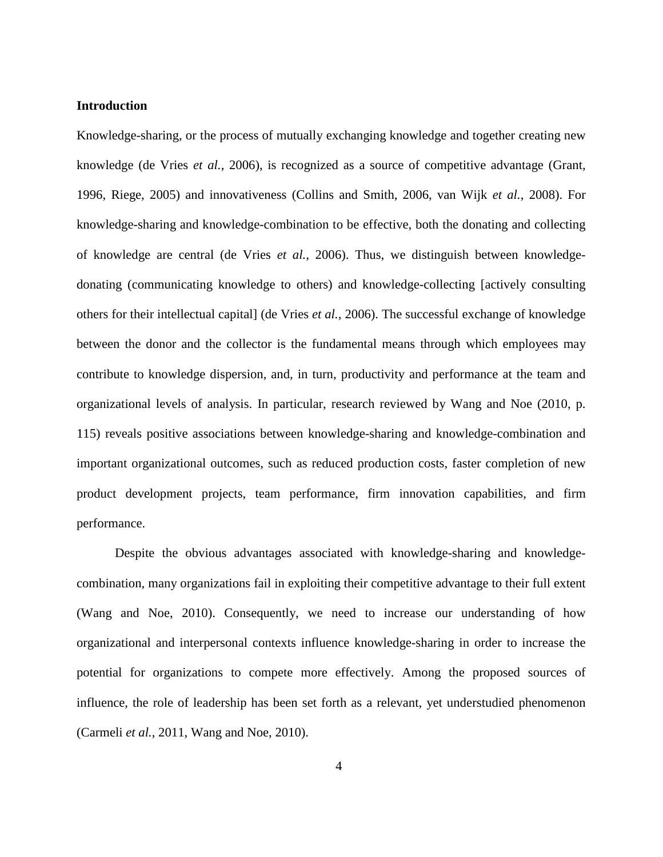#### **Introduction**

Knowledge-sharing, or the process of mutually exchanging knowledge and together creating new knowledge [\(de Vries](#page-27-0) *et al.*, 2006), is recognized as a source of competitive advantage [\(Grant,](#page-28-0)  [1996,](#page-28-0) [Riege, 2005\)](#page-30-0) and innovativeness [\(Collins and Smith, 2006,](#page-26-0) [van Wijk](#page-32-0) *et al.*, 2008). For knowledge-sharing and knowledge-combination to be effective, both the donating and collecting of knowledge are central [\(de Vries](#page-27-0) *et al.*, 2006). Thus, we distinguish between knowledgedonating (communicating knowledge to others) and knowledge-collecting [actively consulting others for their intellectual capital] [\(de Vries](#page-27-0) *et al.*, 2006). The successful exchange of knowledge between the donor and the collector is the fundamental means through which employees may contribute to knowledge dispersion, and, in turn, productivity and performance at the team and organizational levels of analysis. In particular, research reviewed by Wang and Noe [\(2010, p.](#page-32-1)  [115\)](#page-32-1) reveals positive associations between knowledge-sharing and knowledge-combination and important organizational outcomes, such as reduced production costs, faster completion of new product development projects, team performance, firm innovation capabilities, and firm performance.

Despite the obvious advantages associated with knowledge-sharing and knowledgecombination, many organizations fail in exploiting their competitive advantage to their full extent [\(Wang and Noe, 2010\)](#page-32-1). Consequently, we need to increase our understanding of how organizational and interpersonal contexts influence knowledge-sharing in order to increase the potential for organizations to compete more effectively. Among the proposed sources of influence, the role of leadership has been set forth as a relevant, yet understudied phenomenon [\(Carmeli](#page-25-0) *et al.*, 2011, [Wang and Noe, 2010\)](#page-32-1).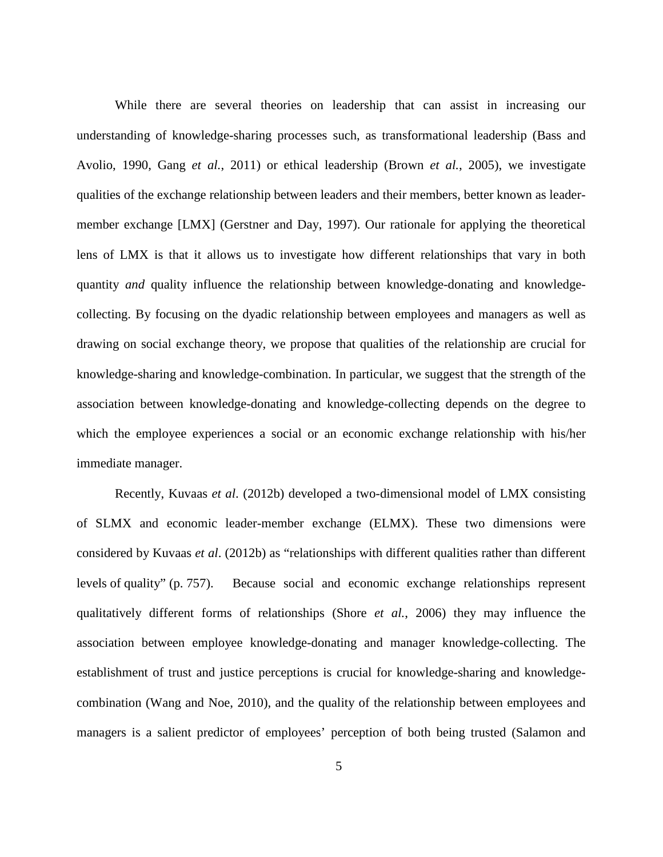While there are several theories on leadership that can assist in increasing our understanding of knowledge-sharing processes such, as transformational leadership [\(Bass and](#page-25-1)  [Avolio, 1990,](#page-25-1) Gang *et al.*[, 2011\)](#page-28-1) or ethical leadership (Brown *et al.*[, 2005\)](#page-25-2), we investigate qualities of the exchange relationship between leaders and their members, better known as leadermember exchange [LMX] [\(Gerstner and Day, 1997\)](#page-28-2). Our rationale for applying the theoretical lens of LMX is that it allows us to investigate how different relationships that vary in both quantity *and* quality influence the relationship between knowledge-donating and knowledgecollecting. By focusing on the dyadic relationship between employees and managers as well as drawing on social exchange theory, we propose that qualities of the relationship are crucial for knowledge-sharing and knowledge-combination. In particular, we suggest that the strength of the association between knowledge-donating and knowledge-collecting depends on the degree to which the employee experiences a social or an economic exchange relationship with his/her immediate manager.

Recently, Kuvaas *et al*. [\(2012b\)](#page-29-0) developed a two-dimensional model of LMX consisting of SLMX and economic leader-member exchange (ELMX). These two dimensions were considered by Kuvaas *et al*. [\(2012b\)](#page-29-0) as "relationships with different qualities rather than different levels of quality" (p. 757). Because social and economic exchange relationships represent qualitatively different forms of relationships (Shore *et al.*[, 2006\)](#page-31-0) they may influence the association between employee knowledge-donating and manager knowledge-collecting. The establishment of trust and justice perceptions is crucial for knowledge-sharing and knowledgecombination [\(Wang and Noe, 2010\)](#page-32-1), and the quality of the relationship between employees and managers is a salient predictor of employees' perception of both being trusted [\(Salamon and](#page-27-1)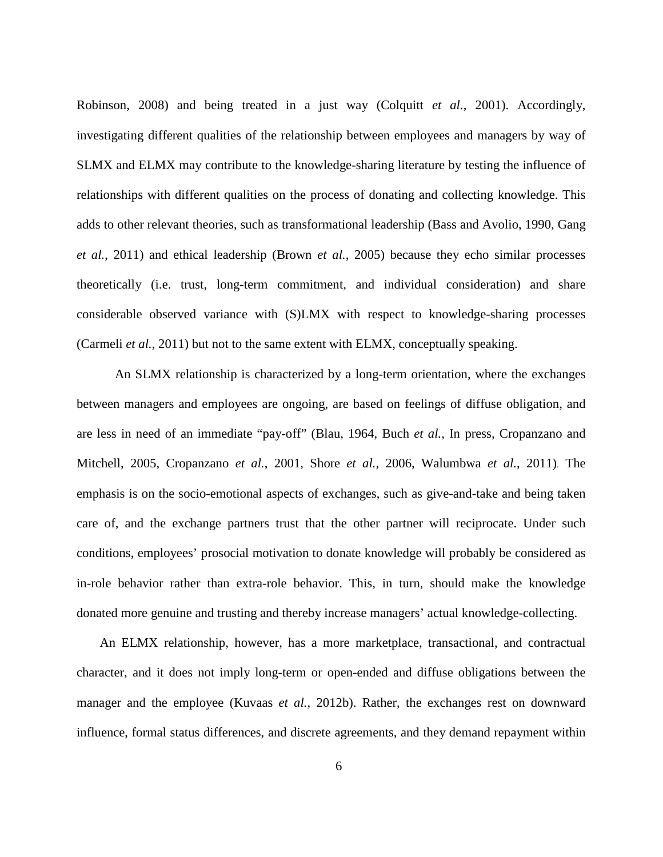Robinson, 2008) and being treated in a just way [\(Colquitt](#page-26-1) *et al.*, 2001). Accordingly, investigating different qualities of the relationship between employees and managers by way of SLMX and ELMX may contribute to the knowledge-sharing literature by testing the influence of relationships with different qualities on the process of donating and collecting knowledge. This adds to other relevant theories, such as transformational leadership [\(Bass and Avolio, 1990,](#page-25-1) [Gang](#page-28-1) *et al.*[, 2011\)](#page-28-1) and ethical leadership [\(Brown](#page-25-2) *et al.*, 2005) because they echo similar processes theoretically (i.e. trust, long-term commitment, and individual consideration) and share considerable observed variance with (S)LMX with respect to knowledge-sharing processes [\(Carmeli](#page-25-0) *et al.*, 2011) but not to the same extent with ELMX, conceptually speaking.

An SLMX relationship is characterized by a long-term orientation, where the exchanges between managers and employees are ongoing, are based on feelings of diffuse obligation, and are less in need of an immediate "pay-off" [\(Blau, 1964,](#page-25-3) Buch *et al.*[, In press,](#page-25-4) [Cropanzano and](#page-27-2)  [Mitchell, 2005,](#page-27-2) [Cropanzano](#page-27-3) *et al.*, 2001, Shore *et al.*[, 2006,](#page-31-0) [Walumbwa](#page-32-2) *et al.*, 2011). The emphasis is on the socio-emotional aspects of exchanges, such as give-and-take and being taken care of, and the exchange partners trust that the other partner will reciprocate. Under such conditions, employees' prosocial motivation to donate knowledge will probably be considered as in-role behavior rather than extra-role behavior. This, in turn, should make the knowledge donated more genuine and trusting and thereby increase managers' actual knowledge-collecting.

An ELMX relationship, however, has a more marketplace, transactional, and contractual character, and it does not imply long-term or open-ended and diffuse obligations between the manager and the employee (Kuvaas *et al.*[, 2012b\)](#page-29-0). Rather, the exchanges rest on downward influence, formal status differences, and discrete agreements, and they demand repayment within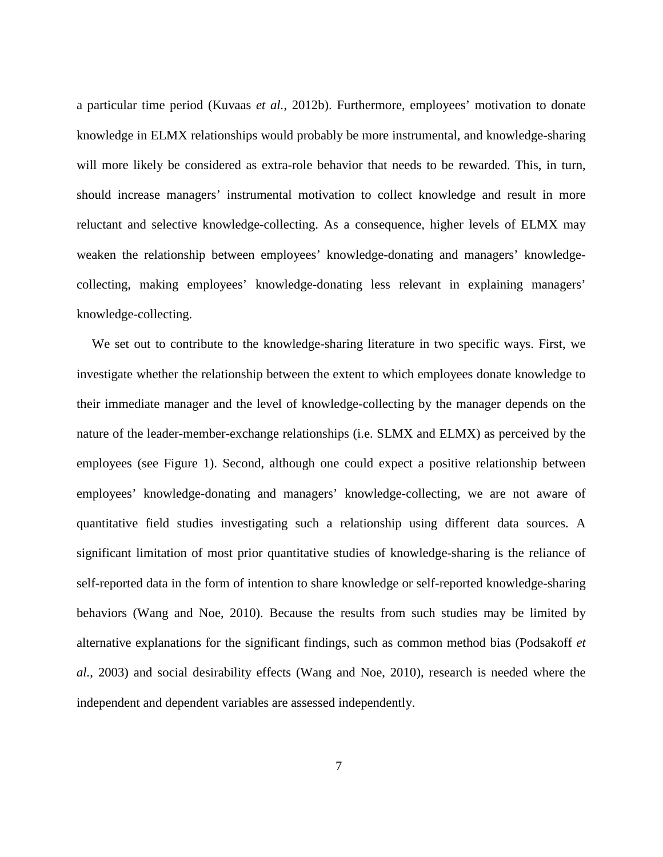a particular time period (Kuvaas *et al.*[, 2012b\)](#page-29-0). Furthermore, employees' motivation to donate knowledge in ELMX relationships would probably be more instrumental, and knowledge-sharing will more likely be considered as extra-role behavior that needs to be rewarded. This, in turn, should increase managers' instrumental motivation to collect knowledge and result in more reluctant and selective knowledge-collecting. As a consequence, higher levels of ELMX may weaken the relationship between employees' knowledge-donating and managers' knowledgecollecting, making employees' knowledge-donating less relevant in explaining managers' knowledge-collecting.

We set out to contribute to the knowledge-sharing literature in two specific ways. First, we investigate whether the relationship between the extent to which employees donate knowledge to their immediate manager and the level of knowledge-collecting by the manager depends on the nature of the leader-member-exchange relationships (i.e. SLMX and ELMX) as perceived by the employees (see Figure 1). Second, although one could expect a positive relationship between employees' knowledge-donating and managers' knowledge-collecting, we are not aware of quantitative field studies investigating such a relationship using different data sources. A significant limitation of most prior quantitative studies of knowledge-sharing is the reliance of self-reported data in the form of intention to share knowledge or self-reported knowledge-sharing behaviors [\(Wang and Noe, 2010\)](#page-32-1). Because the results from such studies may be limited by alternative explanations for the significant findings, such as common method bias [\(Podsakoff](#page-30-1) *et al.*[, 2003\)](#page-30-1) and social desirability effects [\(Wang and Noe, 2010\)](#page-32-1), research is needed where the independent and dependent variables are assessed independently.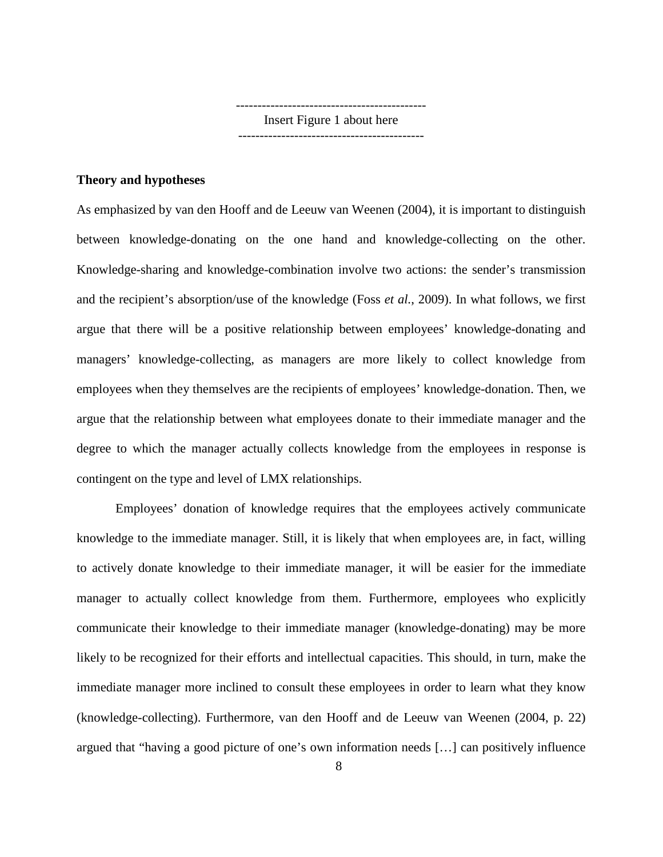-------------------------------------------- Insert Figure 1 about here -------------------------------------------

#### **Theory and hypotheses**

As emphasized by van den Hooff and de Leeuw van Weenen [\(2004\)](#page-31-1), it is important to distinguish between knowledge-donating on the one hand and knowledge-collecting on the other. Knowledge-sharing and knowledge-combination involve two actions: the sender's transmission and the recipient's absorption/use of the knowledge (Foss *et al.*[, 2009\)](#page-28-3). In what follows, we first argue that there will be a positive relationship between employees' knowledge-donating and managers' knowledge-collecting, as managers are more likely to collect knowledge from employees when they themselves are the recipients of employees' knowledge-donation. Then, we argue that the relationship between what employees donate to their immediate manager and the degree to which the manager actually collects knowledge from the employees in response is contingent on the type and level of LMX relationships.

Employees' donation of knowledge requires that the employees actively communicate knowledge to the immediate manager. Still, it is likely that when employees are, in fact, willing to actively donate knowledge to their immediate manager, it will be easier for the immediate manager to actually collect knowledge from them. Furthermore, employees who explicitly communicate their knowledge to their immediate manager (knowledge-donating) may be more likely to be recognized for their efforts and intellectual capacities. This should, in turn, make the immediate manager more inclined to consult these employees in order to learn what they know (knowledge-collecting). Furthermore, van den Hooff and de Leeuw van Weenen [\(2004, p. 22\)](#page-31-1) argued that "having a good picture of one's own information needs […] can positively influence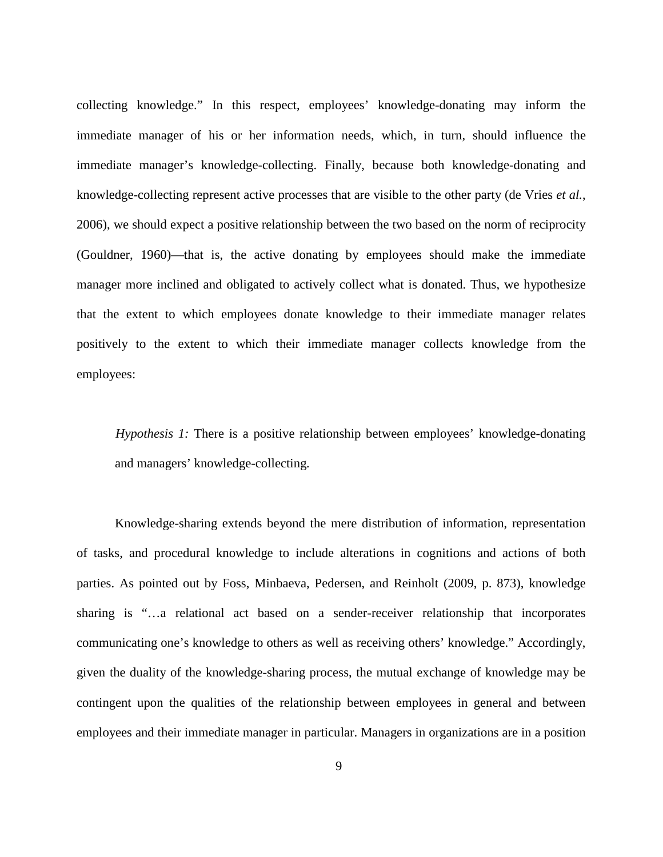collecting knowledge." In this respect, employees' knowledge-donating may inform the immediate manager of his or her information needs, which, in turn, should influence the immediate manager's knowledge-collecting. Finally, because both knowledge-donating and knowledge-collecting represent active processes that are visible to the other party [\(de Vries](#page-27-0) *et al.*, [2006\)](#page-27-0), we should expect a positive relationship between the two based on the norm of reciprocity [\(Gouldner, 1960\)](#page-28-4)—that is, the active donating by employees should make the immediate manager more inclined and obligated to actively collect what is donated. Thus, we hypothesize that the extent to which employees donate knowledge to their immediate manager relates positively to the extent to which their immediate manager collects knowledge from the employees:

*Hypothesis 1:* There is a positive relationship between employees' knowledge-donating and managers' knowledge-collecting*.*

Knowledge-sharing extends beyond the mere distribution of information, representation of tasks, and procedural knowledge to include alterations in cognitions and actions of both parties. As pointed out by Foss, Minbaeva, Pedersen, and Reinholt [\(2009, p. 873\)](#page-28-3), knowledge sharing is "…a relational act based on a sender-receiver relationship that incorporates communicating one's knowledge to others as well as receiving others' knowledge." Accordingly, given the duality of the knowledge-sharing process, the mutual exchange of knowledge may be contingent upon the qualities of the relationship between employees in general and between employees and their immediate manager in particular. Managers in organizations are in a position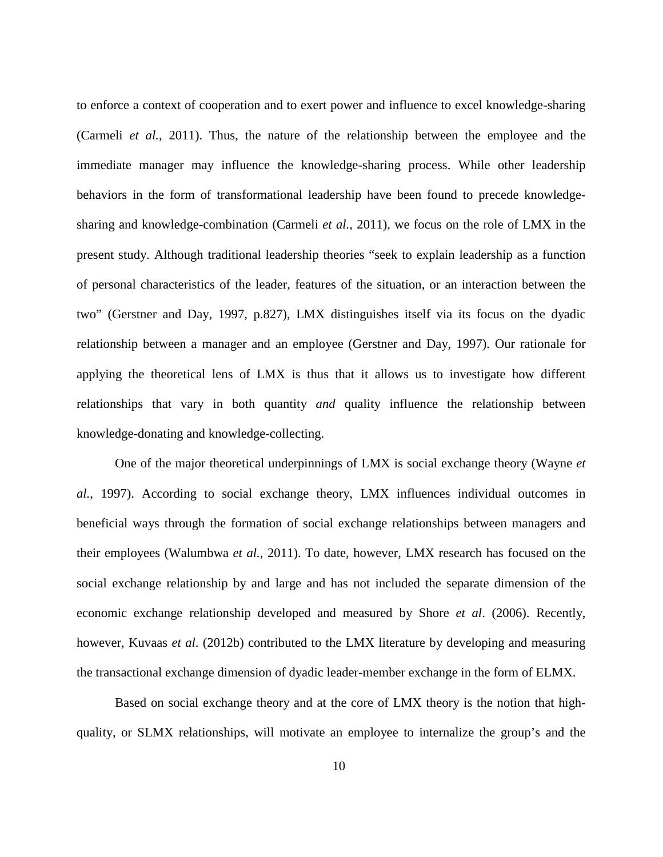to enforce a context of cooperation and to exert power and influence to excel knowledge-sharing [\(Carmeli](#page-25-0) *et al.*, 2011). Thus, the nature of the relationship between the employee and the immediate manager may influence the knowledge-sharing process. While other leadership behaviors in the form of transformational leadership have been found to precede knowledgesharing and knowledge-combination [\(Carmeli](#page-25-0) *et al.*, 2011), we focus on the role of LMX in the present study. Although traditional leadership theories "seek to explain leadership as a function of personal characteristics of the leader, features of the situation, or an interaction between the two" [\(Gerstner and Day, 1997, p.827\)](#page-28-2), LMX distinguishes itself via its focus on the dyadic relationship between a manager and an employee [\(Gerstner and Day, 1997\)](#page-28-2). Our rationale for applying the theoretical lens of LMX is thus that it allows us to investigate how different relationships that vary in both quantity *and* quality influence the relationship between knowledge-donating and knowledge-collecting.

One of the major theoretical underpinnings of LMX is social exchange theory [\(Wayne](#page-33-0) *et al.*[, 1997\)](#page-33-0). According to social exchange theory, LMX influences individual outcomes in beneficial ways through the formation of social exchange relationships between managers and their employees [\(Walumbwa](#page-32-2) *et al.*, 2011). To date, however, LMX research has focused on the social exchange relationship by and large and has not included the separate dimension of the economic exchange relationship developed and measured by Shore *et al*. [\(2006\)](#page-31-0). Recently, however, Kuvaas *et al*. [\(2012b\)](#page-29-0) contributed to the LMX literature by developing and measuring the transactional exchange dimension of dyadic leader-member exchange in the form of ELMX.

Based on social exchange theory and at the core of LMX theory is the notion that highquality, or SLMX relationships, will motivate an employee to internalize the group's and the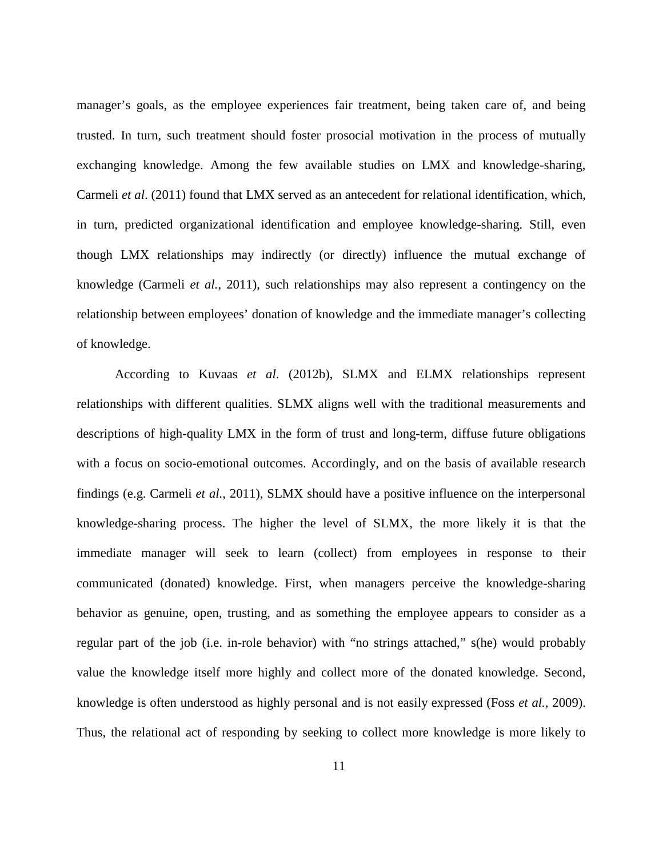manager's goals, as the employee experiences fair treatment, being taken care of, and being trusted. In turn, such treatment should foster prosocial motivation in the process of mutually exchanging knowledge. Among the few available studies on LMX and knowledge-sharing, Carmeli *et al*. [\(2011\)](#page-25-0) found that LMX served as an antecedent for relational identification, which, in turn, predicted organizational identification and employee knowledge-sharing. Still, even though LMX relationships may indirectly (or directly) influence the mutual exchange of knowledge [\(Carmeli](#page-25-0) *et al.*, 2011), such relationships may also represent a contingency on the relationship between employees' donation of knowledge and the immediate manager's collecting of knowledge.

According to Kuvaas *et al*. [\(2012b\)](#page-29-0), SLMX and ELMX relationships represent relationships with different qualities. SLMX aligns well with the traditional measurements and descriptions of high-quality LMX in the form of trust and long-term, diffuse future obligations with a focus on socio-emotional outcomes. Accordingly, and on the basis of available research findings [\(e.g. Carmeli](#page-25-0) *et al.*, 2011), SLMX should have a positive influence on the interpersonal knowledge-sharing process. The higher the level of SLMX, the more likely it is that the immediate manager will seek to learn (collect) from employees in response to their communicated (donated) knowledge. First, when managers perceive the knowledge-sharing behavior as genuine, open, trusting, and as something the employee appears to consider as a regular part of the job (i.e. in-role behavior) with "no strings attached," s(he) would probably value the knowledge itself more highly and collect more of the donated knowledge. Second, knowledge is often understood as highly personal and is not easily expressed (Foss *et al.*[, 2009\)](#page-28-3). Thus, the relational act of responding by seeking to collect more knowledge is more likely to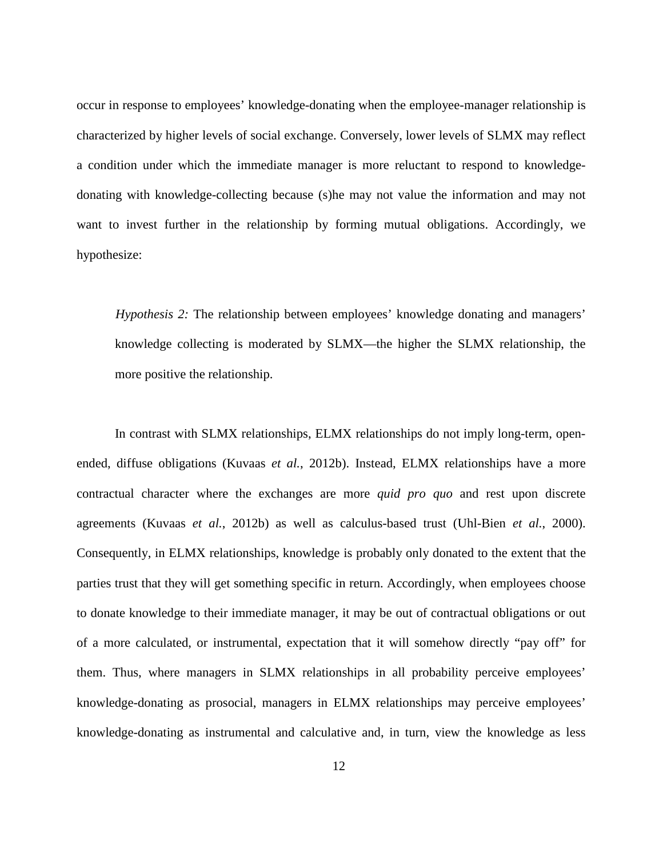occur in response to employees' knowledge-donating when the employee-manager relationship is characterized by higher levels of social exchange. Conversely, lower levels of SLMX may reflect a condition under which the immediate manager is more reluctant to respond to knowledgedonating with knowledge-collecting because (s)he may not value the information and may not want to invest further in the relationship by forming mutual obligations. Accordingly, we hypothesize:

*Hypothesis 2:* The relationship between employees' knowledge donating and managers' knowledge collecting is moderated by SLMX—the higher the SLMX relationship, the more positive the relationship.

In contrast with SLMX relationships, ELMX relationships do not imply long-term, openended, diffuse obligations (Kuvaas *et al.*[, 2012b\)](#page-29-0). Instead, ELMX relationships have a more contractual character where the exchanges are more *quid pro quo* and rest upon discrete agreements (Kuvaas *et al.*[, 2012b\)](#page-29-0) as well as calculus-based trust [\(Uhl-Bien](#page-31-2) *et al.*, 2000). Consequently, in ELMX relationships, knowledge is probably only donated to the extent that the parties trust that they will get something specific in return. Accordingly, when employees choose to donate knowledge to their immediate manager, it may be out of contractual obligations or out of a more calculated, or instrumental, expectation that it will somehow directly "pay off" for them. Thus, where managers in SLMX relationships in all probability perceive employees' knowledge-donating as prosocial, managers in ELMX relationships may perceive employees' knowledge-donating as instrumental and calculative and, in turn, view the knowledge as less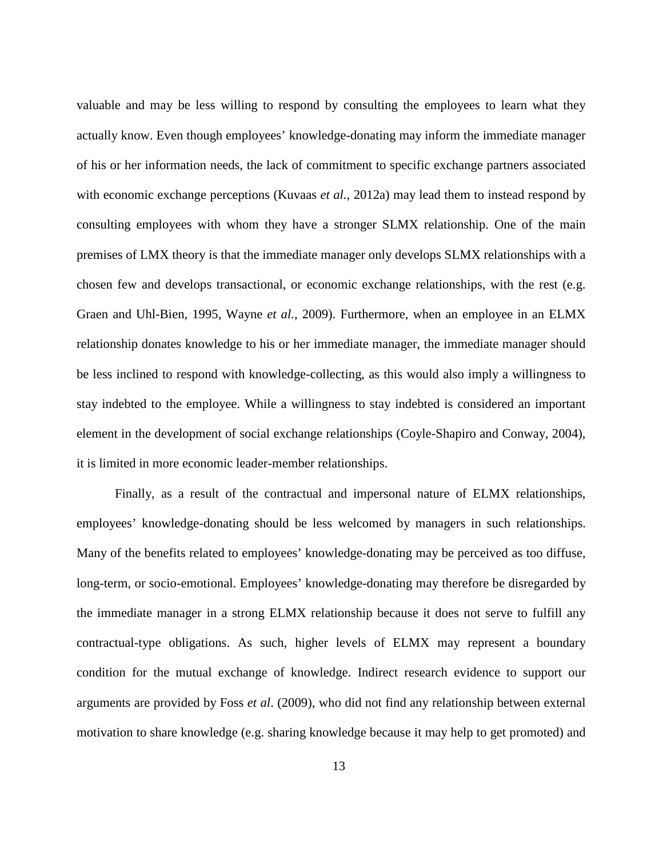valuable and may be less willing to respond by consulting the employees to learn what they actually know. Even though employees' knowledge-donating may inform the immediate manager of his or her information needs, the lack of commitment to specific exchange partners associated with economic exchange perceptions [\(Kuvaas](#page-29-1) *et al.*, 2012a) may lead them to instead respond by consulting employees with whom they have a stronger SLMX relationship. One of the main premises of LMX theory is that the immediate manager only develops SLMX relationships with a chosen few and develops transactional, or economic exchange relationships, with the rest (e.g. [Graen and Uhl-Bien, 1995,](#page-28-5) [Wayne](#page-32-3) *et al.*, 2009). Furthermore, when an employee in an ELMX relationship donates knowledge to his or her immediate manager, the immediate manager should be less inclined to respond with knowledge-collecting, as this would also imply a willingness to stay indebted to the employee. While a willingness to stay indebted is considered an important element in the development of social exchange relationships [\(Coyle-Shapiro and Conway, 2004\)](#page-26-2), it is limited in more economic leader-member relationships.

Finally, as a result of the contractual and impersonal nature of ELMX relationships, employees' knowledge-donating should be less welcomed by managers in such relationships. Many of the benefits related to employees' knowledge-donating may be perceived as too diffuse, long-term, or socio-emotional. Employees' knowledge-donating may therefore be disregarded by the immediate manager in a strong ELMX relationship because it does not serve to fulfill any contractual-type obligations. As such, higher levels of ELMX may represent a boundary condition for the mutual exchange of knowledge. Indirect research evidence to support our arguments are provided by Foss *et al*. [\(2009\)](#page-28-3), who did not find any relationship between external motivation to share knowledge (e.g. sharing knowledge because it may help to get promoted) and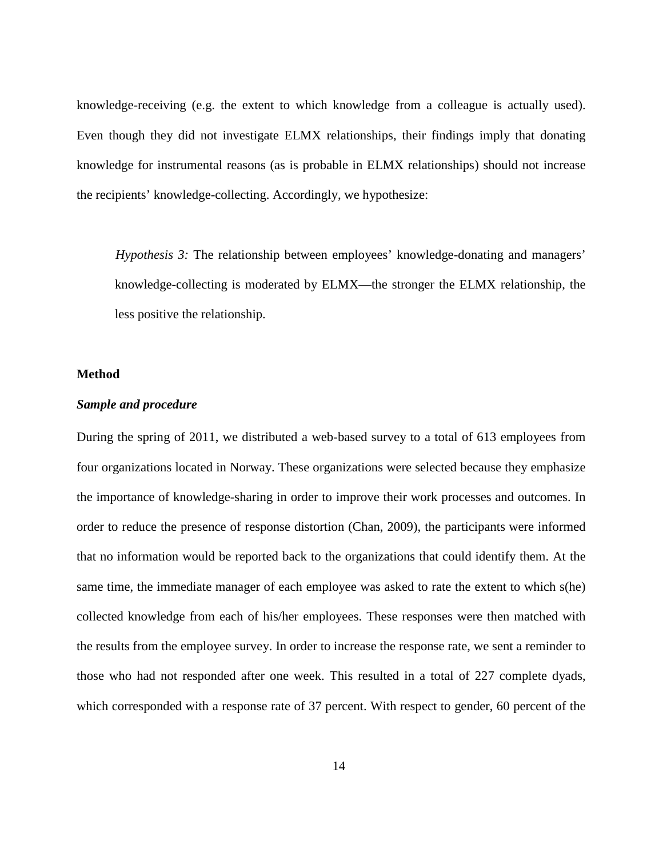knowledge-receiving (e.g. the extent to which knowledge from a colleague is actually used). Even though they did not investigate ELMX relationships, their findings imply that donating knowledge for instrumental reasons (as is probable in ELMX relationships) should not increase the recipients' knowledge-collecting. Accordingly, we hypothesize:

*Hypothesis 3:* The relationship between employees' knowledge-donating and managers' knowledge-collecting is moderated by ELMX—the stronger the ELMX relationship, the less positive the relationship.

#### **Method**

#### *Sample and procedure*

During the spring of 2011, we distributed a web-based survey to a total of 613 employees from four organizations located in Norway. These organizations were selected because they emphasize the importance of knowledge-sharing in order to improve their work processes and outcomes. In order to reduce the presence of response distortion [\(Chan, 2009\)](#page-25-5), the participants were informed that no information would be reported back to the organizations that could identify them. At the same time, the immediate manager of each employee was asked to rate the extent to which s(he) collected knowledge from each of his/her employees. These responses were then matched with the results from the employee survey. In order to increase the response rate, we sent a reminder to those who had not responded after one week. This resulted in a total of 227 complete dyads, which corresponded with a response rate of 37 percent. With respect to gender, 60 percent of the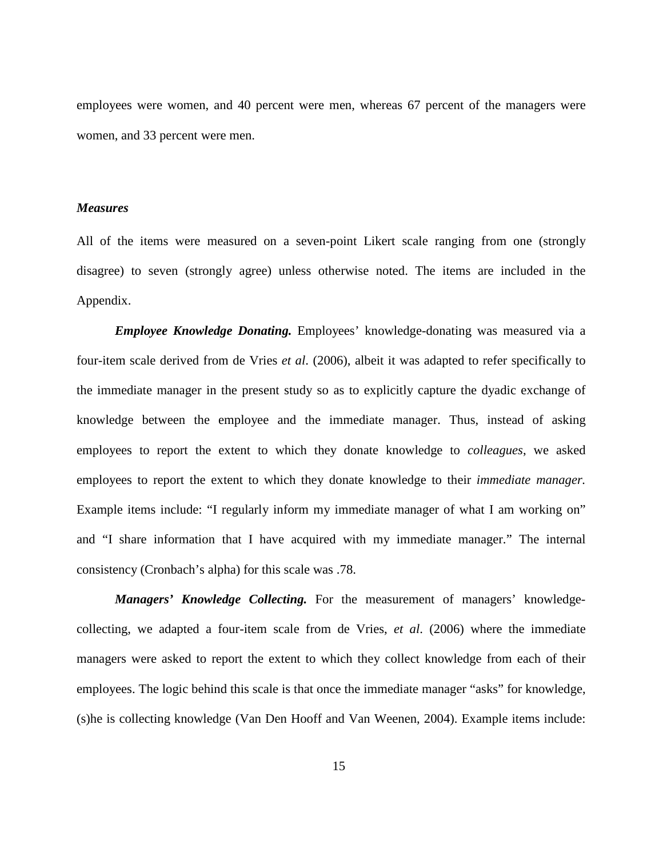employees were women, and 40 percent were men, whereas 67 percent of the managers were women, and 33 percent were men.

#### *Measures*

All of the items were measured on a seven-point Likert scale ranging from one (strongly disagree) to seven (strongly agree) unless otherwise noted. The items are included in the Appendix.

*Employee Knowledge Donating.* Employees' knowledge-donating was measured via a four-item scale derived from de Vries *et al*. [\(2006\)](#page-27-0), albeit it was adapted to refer specifically to the immediate manager in the present study so as to explicitly capture the dyadic exchange of knowledge between the employee and the immediate manager. Thus, instead of asking employees to report the extent to which they donate knowledge to *colleagues*, we asked employees to report the extent to which they donate knowledge to their *immediate manager.* Example items include: "I regularly inform my immediate manager of what I am working on" and "I share information that I have acquired with my immediate manager." The internal consistency (Cronbach's alpha) for this scale was .78.

*Managers' Knowledge Collecting.* For the measurement of managers' knowledgecollecting, we adapted a four-item scale from de Vries, *et al*. [\(2006\)](#page-27-0) where the immediate managers were asked to report the extent to which they collect knowledge from each of their employees. The logic behind this scale is that once the immediate manager "asks" for knowledge, (s)he is collecting knowledge [\(Van Den Hooff and Van Weenen, 2004\)](#page-31-1). Example items include: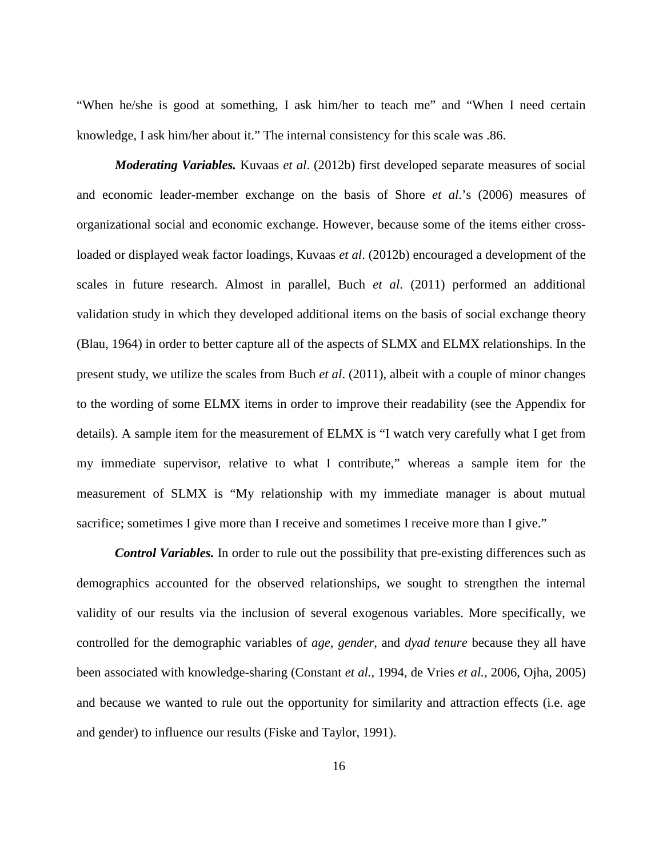"When he/she is good at something, I ask him/her to teach me" and "When I need certain knowledge, I ask him/her about it." The internal consistency for this scale was .86.

*Moderating Variables.* Kuvaas *et al*. [\(2012b\)](#page-29-0) first developed separate measures of social and economic leader-member exchange on the basis of Shore *et al*.'s [\(2006\)](#page-31-0) measures of organizational social and economic exchange. However, because some of the items either crossloaded or displayed weak factor loadings, Kuvaas *et al*. [\(2012b\)](#page-29-0) encouraged a development of the scales in future research. Almost in parallel, Buch *et al*. [\(2011\)](#page-25-6) performed an additional validation study in which they developed additional items on the basis of social exchange theory [\(Blau, 1964\)](#page-25-3) in order to better capture all of the aspects of SLMX and ELMX relationships. In the present study, we utilize the scales from Buch *et al*. [\(2011\)](#page-25-6), albeit with a couple of minor changes to the wording of some ELMX items in order to improve their readability (see the Appendix for details). A sample item for the measurement of ELMX is "I watch very carefully what I get from my immediate supervisor, relative to what I contribute," whereas a sample item for the measurement of SLMX is "My relationship with my immediate manager is about mutual sacrifice; sometimes I give more than I receive and sometimes I receive more than I give."

*Control Variables.* In order to rule out the possibility that pre-existing differences such as demographics accounted for the observed relationships, we sought to strengthen the internal validity of our results via the inclusion of several exogenous variables. More specifically, we controlled for the demographic variables of *age*, *gender*, and *dyad tenure* because they all have been associated with knowledge-sharing [\(Constant](#page-26-3) *et al.*, 1994, [de Vries](#page-27-0) *et al.*, 2006, [Ojha, 2005\)](#page-30-2) and because we wanted to rule out the opportunity for similarity and attraction effects (i.e. age and gender) to influence our results [\(Fiske and Taylor, 1991\)](#page-28-6).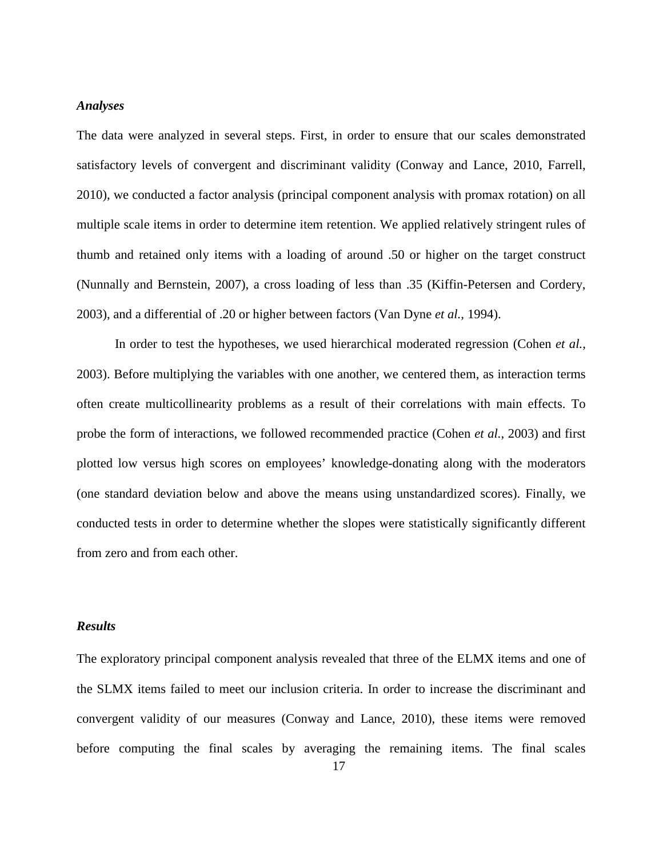#### *Analyses*

The data were analyzed in several steps. First, in order to ensure that our scales demonstrated satisfactory levels of convergent and discriminant validity [\(Conway and Lance, 2010,](#page-26-4) [Farrell,](#page-28-7)  [2010\)](#page-28-7), we conducted a factor analysis (principal component analysis with promax rotation) on all multiple scale items in order to determine item retention. We applied relatively stringent rules of thumb and retained only items with a loading of around .50 or higher on the target construct [\(Nunnally and Bernstein, 2007\)](#page-30-3), a cross loading of less than .35 [\(Kiffin-Petersen and Cordery,](#page-29-2)  [2003\)](#page-29-2), and a differential of .20 or higher between factors [\(Van Dyne](#page-31-3) *et al.*, 1994).

In order to test the hypotheses, we used hierarchical moderated regression [\(Cohen](#page-26-5) *et al.*, [2003\)](#page-26-5). Before multiplying the variables with one another, we centered them, as interaction terms often create multicollinearity problems as a result of their correlations with main effects. To probe the form of interactions, we followed recommended practice [\(Cohen](#page-26-5) *et al.*, 2003) and first plotted low versus high scores on employees' knowledge-donating along with the moderators (one standard deviation below and above the means using unstandardized scores). Finally, we conducted tests in order to determine whether the slopes were statistically significantly different from zero and from each other.

#### *Results*

The exploratory principal component analysis revealed that three of the ELMX items and one of the SLMX items failed to meet our inclusion criteria. In order to increase the discriminant and convergent validity of our measures [\(Conway and Lance, 2010\)](#page-26-4), these items were removed before computing the final scales by averaging the remaining items. The final scales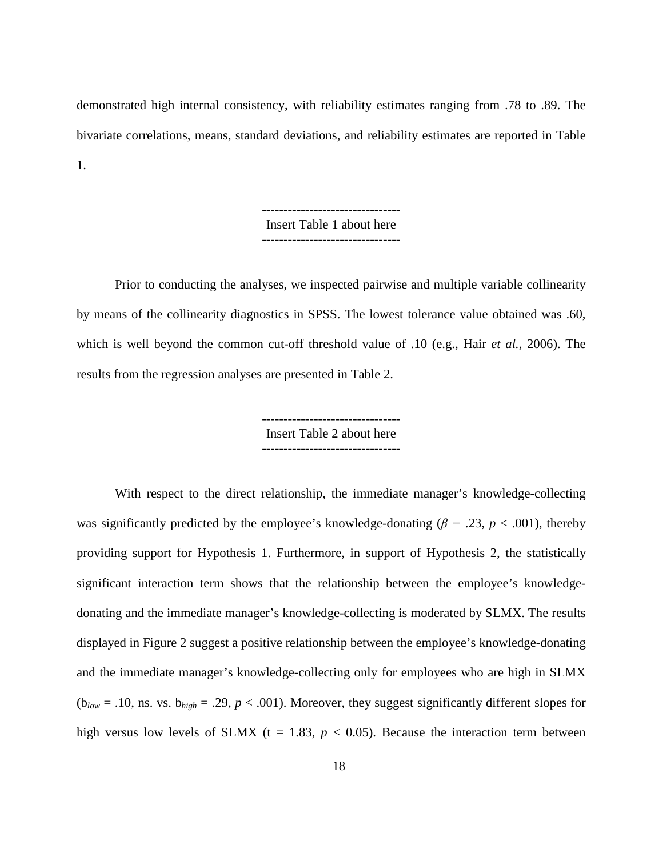demonstrated high internal consistency, with reliability estimates ranging from .78 to .89. The bivariate correlations, means, standard deviations, and reliability estimates are reported in Table 1.

> -------------------------------- Insert Table 1 about here --------------------------------

Prior to conducting the analyses, we inspected pairwise and multiple variable collinearity by means of the collinearity diagnostics in SPSS. The lowest tolerance value obtained was .60, which is well beyond the common cut-off threshold value of .10 [\(e.g., Hair](#page-29-3) *et al.*, 2006). The results from the regression analyses are presented in Table 2.

> Insert Table 2 about here --------------------------------

With respect to the direct relationship, the immediate manager's knowledge-collecting was significantly predicted by the employee's knowledge-donating ( $\beta$  = .23, *p* < .001), thereby providing support for Hypothesis 1. Furthermore, in support of Hypothesis 2, the statistically significant interaction term shows that the relationship between the employee's knowledgedonating and the immediate manager's knowledge-collecting is moderated by SLMX. The results displayed in Figure 2 suggest a positive relationship between the employee's knowledge-donating and the immediate manager's knowledge-collecting only for employees who are high in SLMX ( $b_{low} = .10$ , ns. vs.  $b_{high} = .29$ ,  $p < .001$ ). Moreover, they suggest significantly different slopes for high versus low levels of SLMX ( $t = 1.83$ ,  $p < 0.05$ ). Because the interaction term between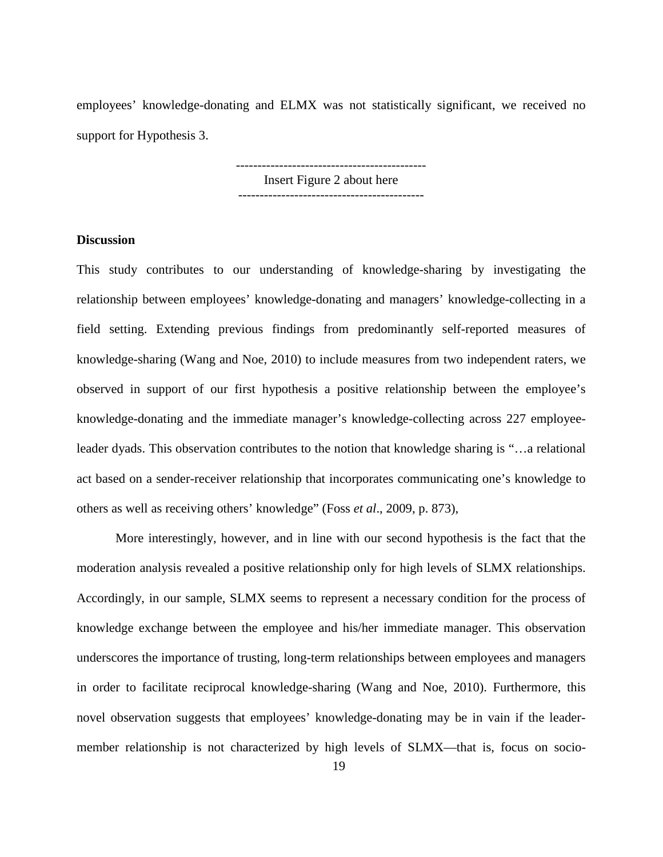employees' knowledge-donating and ELMX was not statistically significant, we received no support for Hypothesis 3.

> -------------------------------------------- Insert Figure 2 about here -------------------------------------------

### **Discussion**

This study contributes to our understanding of knowledge-sharing by investigating the relationship between employees' knowledge-donating and managers' knowledge-collecting in a field setting. Extending previous findings from predominantly self-reported measures of knowledge-sharing [\(Wang and Noe, 2010\)](#page-32-1) to include measures from two independent raters, we observed in support of our first hypothesis a positive relationship between the employee's knowledge-donating and the immediate manager's knowledge-collecting across 227 employeeleader dyads. This observation contributes to the notion that knowledge sharing is "…a relational act based on a sender-receiver relationship that incorporates communicating one's knowledge to others as well as receiving others' knowledge" (Foss *et al*., 2009, p. 873),

More interestingly, however, and in line with our second hypothesis is the fact that the moderation analysis revealed a positive relationship only for high levels of SLMX relationships. Accordingly, in our sample, SLMX seems to represent a necessary condition for the process of knowledge exchange between the employee and his/her immediate manager. This observation underscores the importance of trusting, long-term relationships between employees and managers in order to facilitate reciprocal knowledge-sharing [\(Wang and Noe, 2010\)](#page-32-1). Furthermore, this novel observation suggests that employees' knowledge-donating may be in vain if the leadermember relationship is not characterized by high levels of SLMX—that is, focus on socio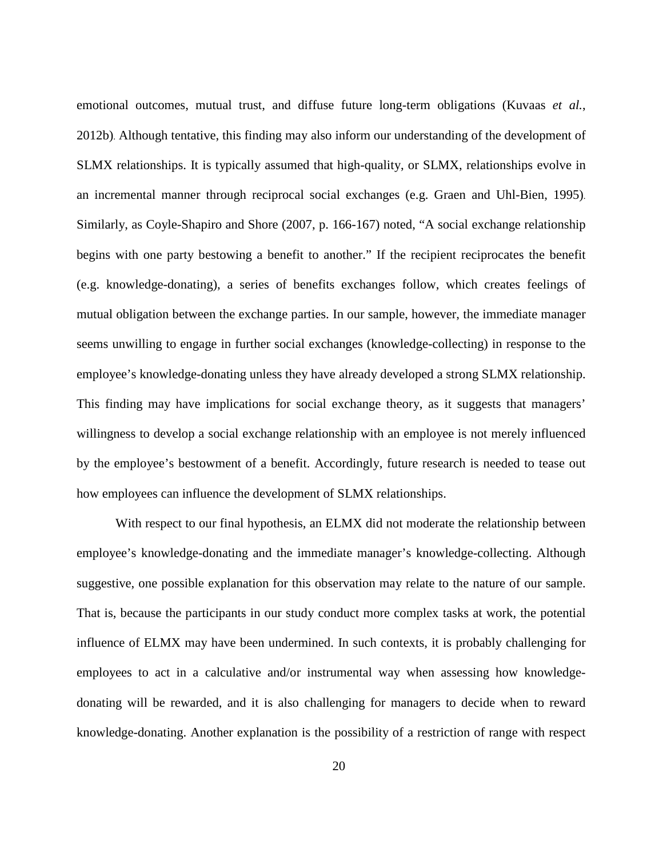emotional outcomes, mutual trust, and diffuse future long-term obligations [\(Kuvaas](#page-29-0) *et al.*, [2012b\)](#page-29-0). Although tentative, this finding may also inform our understanding of the development of SLMX relationships. It is typically assumed that high-quality, or SLMX, relationships evolve in an incremental manner through reciprocal social exchanges [\(e.g. Graen and Uhl-Bien, 1995\)](#page-28-5). Similarly, as Coyle-Shapiro and Shore [\(2007, p. 166-167\)](#page-27-4) noted, "A social exchange relationship begins with one party bestowing a benefit to another." If the recipient reciprocates the benefit (e.g. knowledge-donating), a series of benefits exchanges follow, which creates feelings of mutual obligation between the exchange parties. In our sample, however, the immediate manager seems unwilling to engage in further social exchanges (knowledge-collecting) in response to the employee's knowledge-donating unless they have already developed a strong SLMX relationship. This finding may have implications for social exchange theory, as it suggests that managers' willingness to develop a social exchange relationship with an employee is not merely influenced by the employee's bestowment of a benefit. Accordingly, future research is needed to tease out how employees can influence the development of SLMX relationships.

With respect to our final hypothesis, an ELMX did not moderate the relationship between employee's knowledge-donating and the immediate manager's knowledge-collecting. Although suggestive, one possible explanation for this observation may relate to the nature of our sample. That is, because the participants in our study conduct more complex tasks at work, the potential influence of ELMX may have been undermined. In such contexts, it is probably challenging for employees to act in a calculative and/or instrumental way when assessing how knowledgedonating will be rewarded, and it is also challenging for managers to decide when to reward knowledge-donating. Another explanation is the possibility of a restriction of range with respect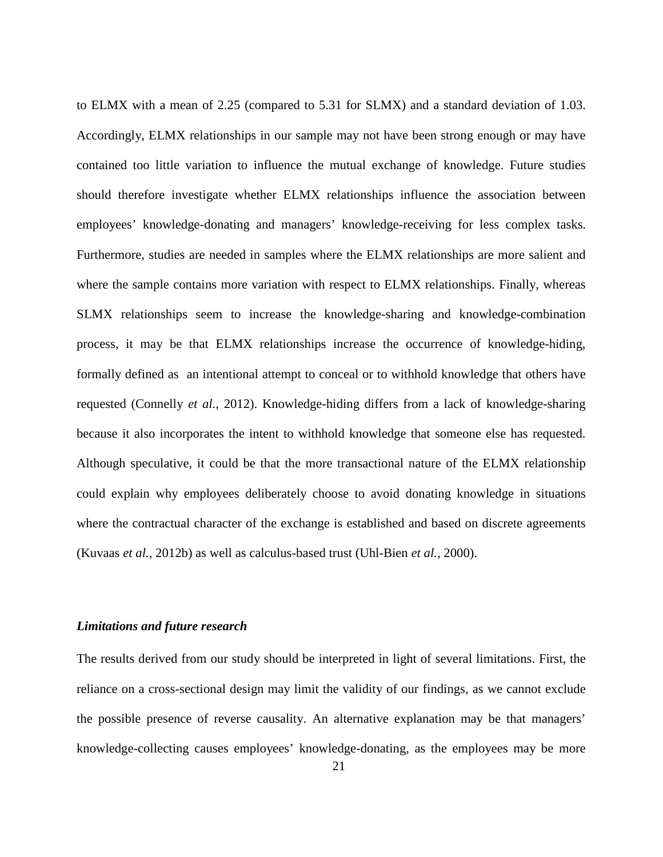to ELMX with a mean of 2.25 (compared to 5.31 for SLMX) and a standard deviation of 1.03. Accordingly, ELMX relationships in our sample may not have been strong enough or may have contained too little variation to influence the mutual exchange of knowledge. Future studies should therefore investigate whether ELMX relationships influence the association between employees' knowledge-donating and managers' knowledge-receiving for less complex tasks. Furthermore, studies are needed in samples where the ELMX relationships are more salient and where the sample contains more variation with respect to ELMX relationships. Finally, whereas SLMX relationships seem to increase the knowledge-sharing and knowledge-combination process, it may be that ELMX relationships increase the occurrence of knowledge-hiding, formally defined as an intentional attempt to conceal or to withhold knowledge that others have requested [\(Connelly](#page-26-6) *et al.*, 2012). Knowledge-hiding differs from a lack of knowledge-sharing because it also incorporates the intent to withhold knowledge that someone else has requested. Although speculative, it could be that the more transactional nature of the ELMX relationship could explain why employees deliberately choose to avoid donating knowledge in situations where the contractual character of the exchange is established and based on discrete agreements (Kuvaas *et al.*[, 2012b\)](#page-29-0) as well as calculus-based trust [\(Uhl-Bien](#page-31-2) *et al.*, 2000).

#### *Limitations and future research*

The results derived from our study should be interpreted in light of several limitations. First, the reliance on a cross-sectional design may limit the validity of our findings, as we cannot exclude the possible presence of reverse causality. An alternative explanation may be that managers' knowledge-collecting causes employees' knowledge-donating, as the employees may be more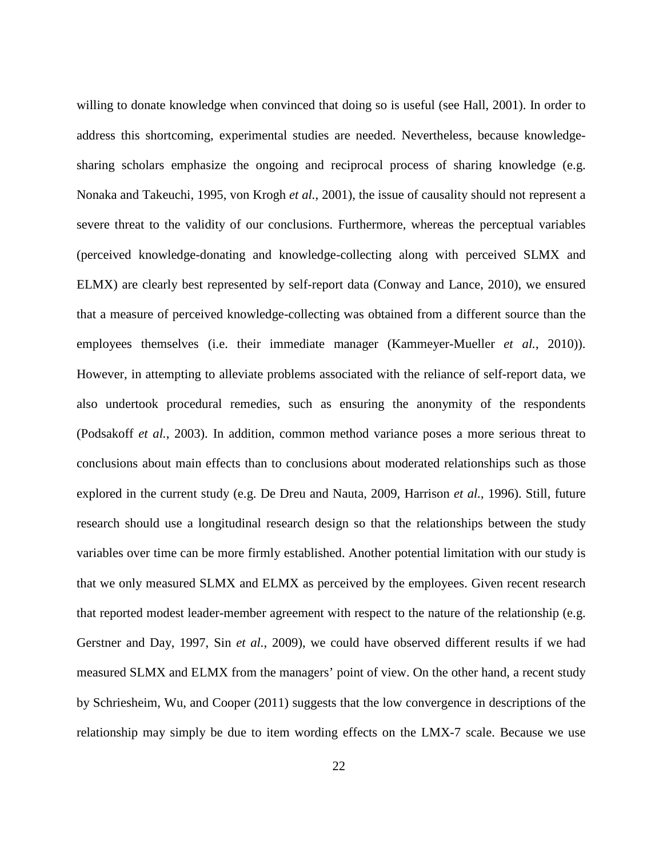willing to donate knowledge when convinced that doing so is useful [\(see Hall, 2001\)](#page-29-4). In order to address this shortcoming, experimental studies are needed. Nevertheless, because knowledgesharing scholars emphasize the ongoing and reciprocal process of sharing knowledge (e.g. [Nonaka and Takeuchi, 1995,](#page-30-4) [von Krogh](#page-32-4) *et al.*, 2001), the issue of causality should not represent a severe threat to the validity of our conclusions. Furthermore, whereas the perceptual variables (perceived knowledge-donating and knowledge-collecting along with perceived SLMX and ELMX) are clearly best represented by self-report data [\(Conway and Lance, 2010\)](#page-26-4), we ensured that a measure of perceived knowledge-collecting was obtained from a different source than the employees themselves [\(i.e. their immediate manager \(Kammeyer-Mueller](#page-29-5) *et al.*, 2010)). However, in attempting to alleviate problems associated with the reliance of self-report data, we also undertook procedural remedies, such as ensuring the anonymity of the respondents [\(Podsakoff](#page-30-1) *et al.*, 2003). In addition, common method variance poses a more serious threat to conclusions about main effects than to conclusions about moderated relationships such as those explored in the current study (e.g. [De Dreu and Nauta, 2009,](#page-27-5) [Harrison](#page-29-6) *et al.*, 1996). Still, future research should use a longitudinal research design so that the relationships between the study variables over time can be more firmly established. Another potential limitation with our study is that we only measured SLMX and ELMX as perceived by the employees. Given recent research that reported modest leader-member agreement with respect to the nature of the relationship (e.g. [Gerstner and Day, 1997,](#page-28-2) Sin *et al.*[, 2009\)](#page-31-4), we could have observed different results if we had measured SLMX and ELMX from the managers' point of view. On the other hand, a recent study by Schriesheim, Wu, and Cooper [\(2011\)](#page-30-5) suggests that the low convergence in descriptions of the relationship may simply be due to item wording effects on the LMX-7 scale. Because we use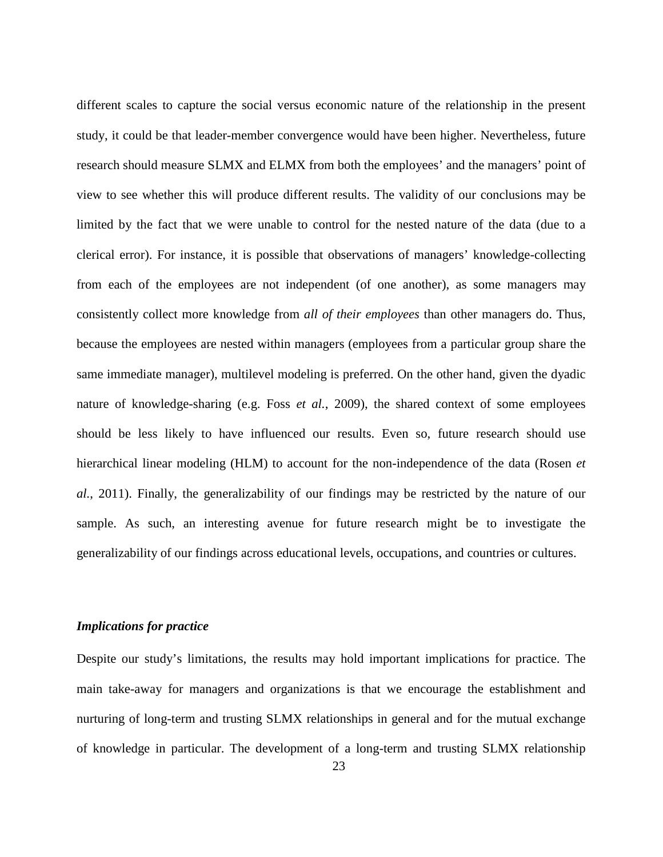different scales to capture the social versus economic nature of the relationship in the present study, it could be that leader-member convergence would have been higher. Nevertheless, future research should measure SLMX and ELMX from both the employees' and the managers' point of view to see whether this will produce different results. The validity of our conclusions may be limited by the fact that we were unable to control for the nested nature of the data (due to a clerical error). For instance, it is possible that observations of managers' knowledge-collecting from each of the employees are not independent (of one another), as some managers may consistently collect more knowledge from *all of their employees* than other managers do. Thus, because the employees are nested within managers (employees from a particular group share the same immediate manager), multilevel modeling is preferred. On the other hand, given the dyadic nature of knowledge-sharing [\(e.g. Foss](#page-28-3) *et al.*, 2009), the shared context of some employees should be less likely to have influenced our results. Even so, future research should use hierarchical linear modeling (HLM) to account for the non-independence of the data [\(Rosen](#page-30-6) *et al.*[, 2011\)](#page-30-6). Finally, the generalizability of our findings may be restricted by the nature of our sample. As such, an interesting avenue for future research might be to investigate the generalizability of our findings across educational levels, occupations, and countries or cultures.

#### *Implications for practice*

Despite our study's limitations, the results may hold important implications for practice. The main take-away for managers and organizations is that we encourage the establishment and nurturing of long-term and trusting SLMX relationships in general and for the mutual exchange of knowledge in particular. The development of a long-term and trusting SLMX relationship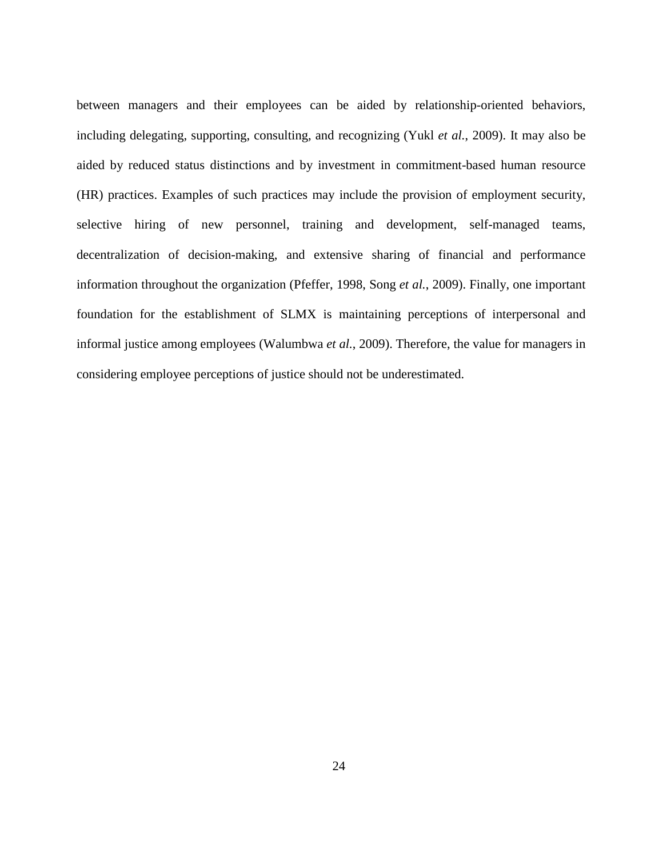between managers and their employees can be aided by relationship-oriented behaviors, including delegating, supporting, consulting, and recognizing (Yukl *et al.*[, 2009\)](#page-33-1). It may also be aided by reduced status distinctions and by investment in commitment-based human resource (HR) practices. Examples of such practices may include the provision of employment security, selective hiring of new personnel, training and development, self-managed teams, decentralization of decision-making, and extensive sharing of financial and performance information throughout the organization [\(Pfeffer, 1998,](#page-30-7) Song *et al.*[, 2009\)](#page-31-5). Finally, one important foundation for the establishment of SLMX is maintaining perceptions of interpersonal and informal justice among employees [\(Walumbwa](#page-32-5) *et al.*, 2009). Therefore, the value for managers in considering employee perceptions of justice should not be underestimated.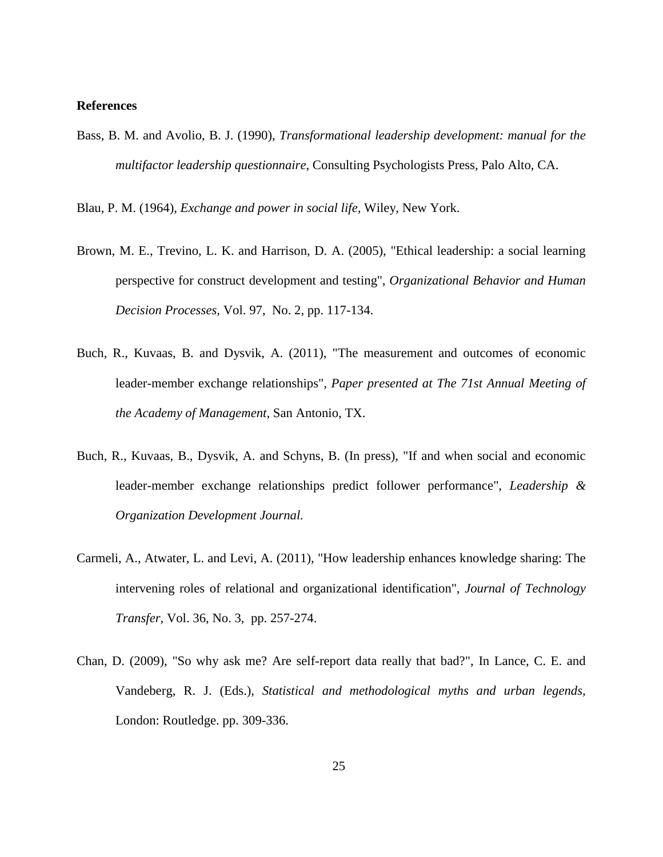#### **References**

<span id="page-25-1"></span>Bass, B. M. and Avolio, B. J. (1990), *Transformational leadership development: manual for the multifactor leadership questionnaire*, Consulting Psychologists Press, Palo Alto, CA.

<span id="page-25-3"></span>Blau, P. M. (1964), *Exchange and power in social life,* Wiley, New York.

- <span id="page-25-2"></span>Brown, M. E., Trevino, L. K. and Harrison, D. A. (2005), "Ethical leadership: a social learning perspective for construct development and testing", *Organizational Behavior and Human Decision Processes,* Vol. 97, No. 2, pp. 117-134.
- <span id="page-25-6"></span>Buch, R., Kuvaas, B. and Dysvik, A. (2011), "The measurement and outcomes of economic leader-member exchange relationships", *Paper presented at The 71st Annual Meeting of the Academy of Management,* San Antonio, TX.
- <span id="page-25-4"></span>Buch, R., Kuvaas, B., Dysvik, A. and Schyns, B. (In press), "If and when social and economic leader-member exchange relationships predict follower performance", *Leadership & Organization Development Journal.*
- <span id="page-25-0"></span>Carmeli, A., Atwater, L. and Levi, A. (2011), "How leadership enhances knowledge sharing: The intervening roles of relational and organizational identification", *Journal of Technology Transfer,* Vol. 36, No. 3, pp. 257-274.
- <span id="page-25-5"></span>Chan, D. (2009), "So why ask me? Are self-report data really that bad?", In Lance, C. E. and Vandeberg, R. J. (Eds.), *Statistical and methodological myths and urban legends,* London: Routledge. pp. 309-336.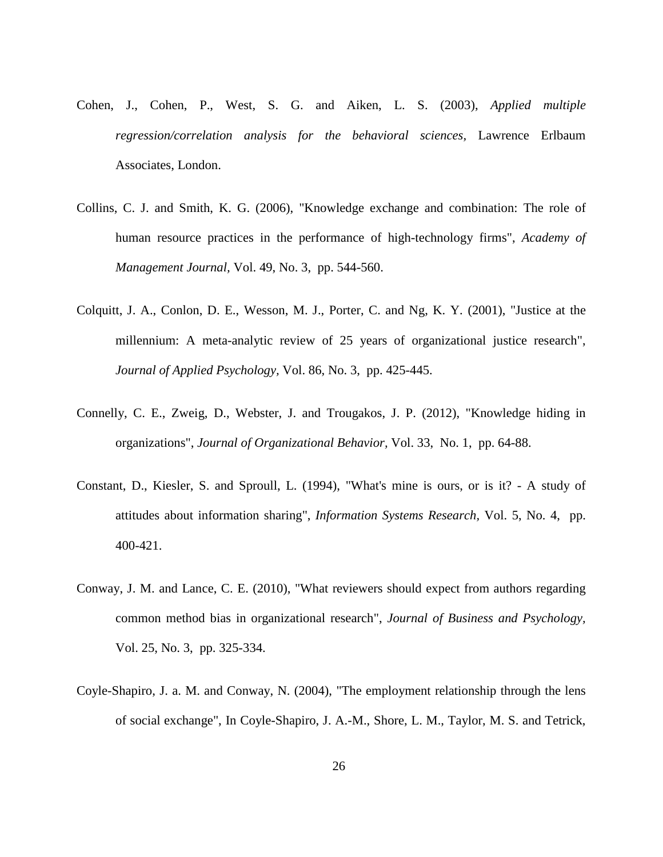- <span id="page-26-5"></span>Cohen, J., Cohen, P., West, S. G. and Aiken, L. S. (2003), *Applied multiple regression/correlation analysis for the behavioral sciences,* Lawrence Erlbaum Associates, London.
- <span id="page-26-0"></span>Collins, C. J. and Smith, K. G. (2006), "Knowledge exchange and combination: The role of human resource practices in the performance of high-technology firms", *Academy of Management Journal,* Vol. 49, No. 3, pp. 544-560.
- <span id="page-26-1"></span>Colquitt, J. A., Conlon, D. E., Wesson, M. J., Porter, C. and Ng, K. Y. (2001), "Justice at the millennium: A meta-analytic review of 25 years of organizational justice research", *Journal of Applied Psychology,* Vol. 86, No. 3, pp. 425-445.
- <span id="page-26-6"></span>Connelly, C. E., Zweig, D., Webster, J. and Trougakos, J. P. (2012), "Knowledge hiding in organizations", *Journal of Organizational Behavior,* Vol. 33, No. 1, pp. 64-88.
- <span id="page-26-3"></span>Constant, D., Kiesler, S. and Sproull, L. (1994), "What's mine is ours, or is it? - A study of attitudes about information sharing", *Information Systems Research,* Vol. 5, No. 4, pp. 400-421.
- <span id="page-26-4"></span>Conway, J. M. and Lance, C. E. (2010), "What reviewers should expect from authors regarding common method bias in organizational research", *Journal of Business and Psychology,* Vol. 25, No. 3, pp. 325-334.
- <span id="page-26-2"></span>Coyle-Shapiro, J. a. M. and Conway, N. (2004), "The employment relationship through the lens of social exchange", In Coyle-Shapiro, J. A.-M., Shore, L. M., Taylor, M. S. and Tetrick,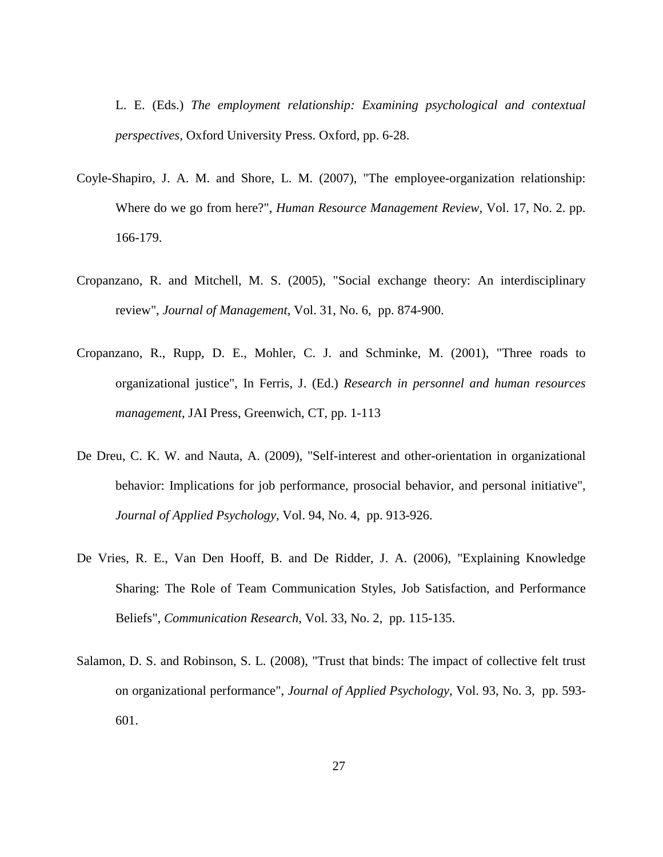L. E. (Eds.) *The employment relationship: Examining psychological and contextual perspectives,* Oxford University Press. Oxford, pp. 6-28.

- <span id="page-27-4"></span>Coyle-Shapiro, J. A. M. and Shore, L. M. (2007), "The employee-organization relationship: Where do we go from here?", *Human Resource Management Review,* Vol. 17, No. 2. pp. 166-179.
- <span id="page-27-2"></span>Cropanzano, R. and Mitchell, M. S. (2005), "Social exchange theory: An interdisciplinary review", *Journal of Management,* Vol. 31, No. 6, pp. 874-900.
- <span id="page-27-3"></span>Cropanzano, R., Rupp, D. E., Mohler, C. J. and Schminke, M. (2001), "Three roads to organizational justice", In Ferris, J. (Ed.) *Research in personnel and human resources management,* JAI Press, Greenwich, CT, pp. 1-113
- <span id="page-27-5"></span>De Dreu, C. K. W. and Nauta, A. (2009), "Self-interest and other-orientation in organizational behavior: Implications for job performance, prosocial behavior, and personal initiative", *Journal of Applied Psychology,* Vol. 94, No. 4, pp. 913-926.
- <span id="page-27-0"></span>De Vries, R. E., Van Den Hooff, B. and De Ridder, J. A. (2006), "Explaining Knowledge Sharing: The Role of Team Communication Styles, Job Satisfaction, and Performance Beliefs", *Communication Research,* Vol. 33, No. 2, pp. 115-135.
- <span id="page-27-1"></span>Salamon, D. S. and Robinson, S. L. (2008), "Trust that binds: The impact of collective felt trust on organizational performance", *Journal of Applied Psychology,* Vol. 93, No. 3, pp. 593- 601.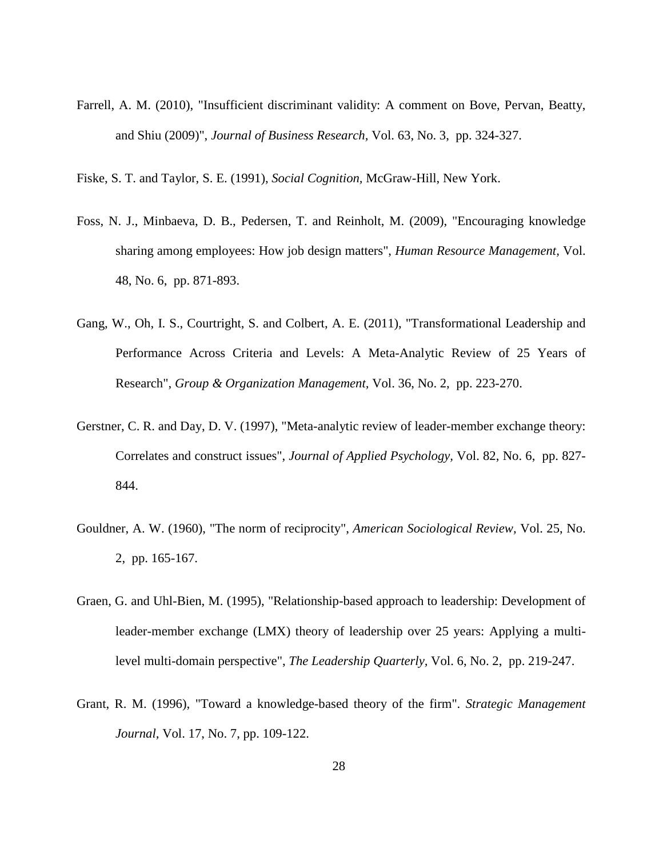<span id="page-28-7"></span>Farrell, A. M. (2010), "Insufficient discriminant validity: A comment on Bove, Pervan, Beatty, and Shiu (2009)", *Journal of Business Research,* Vol. 63, No. 3, pp. 324-327.

<span id="page-28-6"></span>Fiske, S. T. and Taylor, S. E. (1991), *Social Cognition,* McGraw-Hill, New York.

- <span id="page-28-3"></span>Foss, N. J., Minbaeva, D. B., Pedersen, T. and Reinholt, M. (2009), "Encouraging knowledge sharing among employees: How job design matters", *Human Resource Management,* Vol. 48, No. 6, pp. 871-893.
- <span id="page-28-1"></span>Gang, W., Oh, I. S., Courtright, S. and Colbert, A. E. (2011), "Transformational Leadership and Performance Across Criteria and Levels: A Meta-Analytic Review of 25 Years of Research", *Group & Organization Management,* Vol. 36, No. 2, pp. 223-270.
- <span id="page-28-2"></span>Gerstner, C. R. and Day, D. V. (1997), "Meta-analytic review of leader-member exchange theory: Correlates and construct issues", *Journal of Applied Psychology,* Vol. 82, No. 6, pp. 827- 844.
- <span id="page-28-4"></span>Gouldner, A. W. (1960), "The norm of reciprocity", *American Sociological Review,* Vol. 25, No. 2, pp. 165-167.
- <span id="page-28-5"></span>Graen, G. and Uhl-Bien, M. (1995), "Relationship-based approach to leadership: Development of leader-member exchange (LMX) theory of leadership over 25 years: Applying a multilevel multi-domain perspective", *The Leadership Quarterly,* Vol. 6, No. 2, pp. 219-247.
- <span id="page-28-0"></span>Grant, R. M. (1996), "Toward a knowledge-based theory of the firm". *Strategic Management Journal,* Vol. 17, No. 7, pp. 109-122.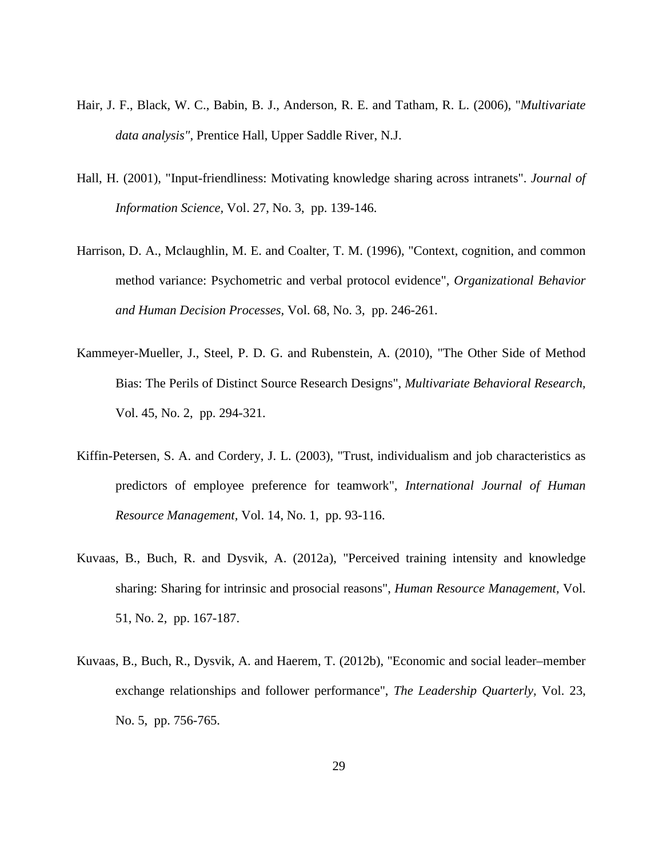- <span id="page-29-3"></span>Hair, J. F., Black, W. C., Babin, B. J., Anderson, R. E. and Tatham, R. L. (2006), "*Multivariate data analysis",* Prentice Hall, Upper Saddle River, N.J.
- <span id="page-29-4"></span>Hall, H. (2001), "Input-friendliness: Motivating knowledge sharing across intranets". *Journal of Information Science,* Vol. 27, No. 3, pp. 139-146.
- <span id="page-29-6"></span>Harrison, D. A., Mclaughlin, M. E. and Coalter, T. M. (1996), "Context, cognition, and common method variance: Psychometric and verbal protocol evidence", *Organizational Behavior and Human Decision Processes,* Vol. 68, No. 3, pp. 246-261.
- <span id="page-29-5"></span>Kammeyer-Mueller, J., Steel, P. D. G. and Rubenstein, A. (2010), "The Other Side of Method Bias: The Perils of Distinct Source Research Designs", *Multivariate Behavioral Research,* Vol. 45, No. 2, pp. 294-321.
- <span id="page-29-2"></span>Kiffin-Petersen, S. A. and Cordery, J. L. (2003), "Trust, individualism and job characteristics as predictors of employee preference for teamwork", *International Journal of Human Resource Management,* Vol. 14, No. 1, pp. 93-116.
- <span id="page-29-1"></span>Kuvaas, B., Buch, R. and Dysvik, A. (2012a), "Perceived training intensity and knowledge sharing: Sharing for intrinsic and prosocial reasons", *Human Resource Management,* Vol. 51, No. 2, pp. 167-187.
- <span id="page-29-0"></span>Kuvaas, B., Buch, R., Dysvik, A. and Haerem, T. (2012b), "Economic and social leader–member exchange relationships and follower performance", *The Leadership Quarterly,* Vol. 23, No. 5, pp. 756-765.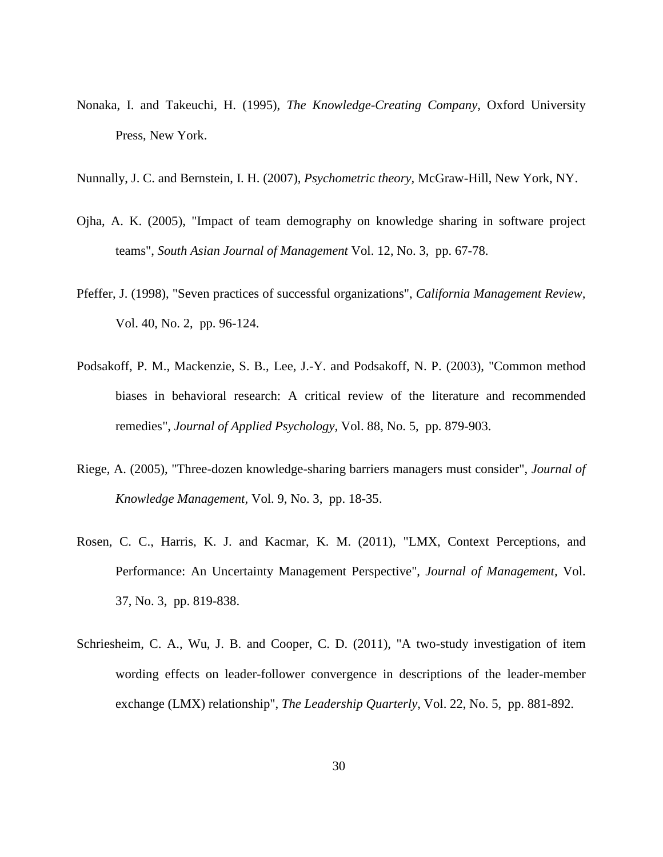- <span id="page-30-4"></span>Nonaka, I. and Takeuchi, H. (1995), *The Knowledge-Creating Company,* Oxford University Press, New York.
- <span id="page-30-3"></span>Nunnally, J. C. and Bernstein, I. H. (2007), *Psychometric theory,* McGraw-Hill, New York, NY.
- <span id="page-30-2"></span>Ojha, A. K. (2005), "Impact of team demography on knowledge sharing in software project teams", *South Asian Journal of Management* Vol. 12, No. 3, pp. 67-78.
- <span id="page-30-7"></span>Pfeffer, J. (1998), "Seven practices of successful organizations", *California Management Review,* Vol. 40, No. 2, pp. 96-124.
- <span id="page-30-1"></span>Podsakoff, P. M., Mackenzie, S. B., Lee, J.-Y. and Podsakoff, N. P. (2003), "Common method biases in behavioral research: A critical review of the literature and recommended remedies", *Journal of Applied Psychology,* Vol. 88, No. 5, pp. 879-903.
- <span id="page-30-0"></span>Riege, A. (2005), "Three-dozen knowledge-sharing barriers managers must consider", *Journal of Knowledge Management,* Vol. 9, No. 3, pp. 18-35.
- <span id="page-30-6"></span>Rosen, C. C., Harris, K. J. and Kacmar, K. M. (2011), "LMX, Context Perceptions, and Performance: An Uncertainty Management Perspective", *Journal of Management,* Vol. 37, No. 3, pp. 819-838.
- <span id="page-30-5"></span>Schriesheim, C. A., Wu, J. B. and Cooper, C. D. (2011), "A two-study investigation of item wording effects on leader-follower convergence in descriptions of the leader-member exchange (LMX) relationship", *The Leadership Quarterly,* Vol. 22, No. 5, pp. 881-892.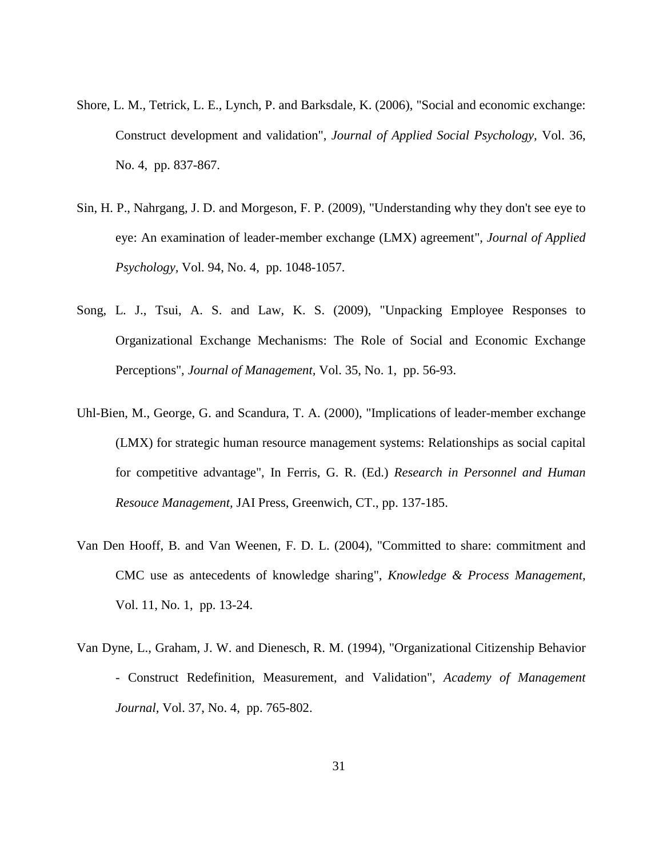- <span id="page-31-0"></span>Shore, L. M., Tetrick, L. E., Lynch, P. and Barksdale, K. (2006), "Social and economic exchange: Construct development and validation", *Journal of Applied Social Psychology,* Vol. 36, No. 4, pp. 837-867.
- <span id="page-31-4"></span>Sin, H. P., Nahrgang, J. D. and Morgeson, F. P. (2009), "Understanding why they don't see eye to eye: An examination of leader-member exchange (LMX) agreement", *Journal of Applied Psychology,* Vol. 94, No. 4, pp. 1048-1057.
- <span id="page-31-5"></span>Song, L. J., Tsui, A. S. and Law, K. S. (2009), "Unpacking Employee Responses to Organizational Exchange Mechanisms: The Role of Social and Economic Exchange Perceptions", *Journal of Management,* Vol. 35, No. 1, pp. 56-93.
- <span id="page-31-2"></span>Uhl-Bien, M., George, G. and Scandura, T. A. (2000), "Implications of leader-member exchange (LMX) for strategic human resource management systems: Relationships as social capital for competitive advantage", In Ferris, G. R. (Ed.) *Research in Personnel and Human Resouce Management,* JAI Press, Greenwich, CT., pp. 137-185.
- <span id="page-31-1"></span>Van Den Hooff, B. and Van Weenen, F. D. L. (2004), "Committed to share: commitment and CMC use as antecedents of knowledge sharing", *Knowledge & Process Management,* Vol. 11, No. 1, pp. 13-24.
- <span id="page-31-3"></span>Van Dyne, L., Graham, J. W. and Dienesch, R. M. (1994), "Organizational Citizenship Behavior - Construct Redefinition, Measurement, and Validation", *Academy of Management Journal,* Vol. 37, No. 4, pp. 765-802.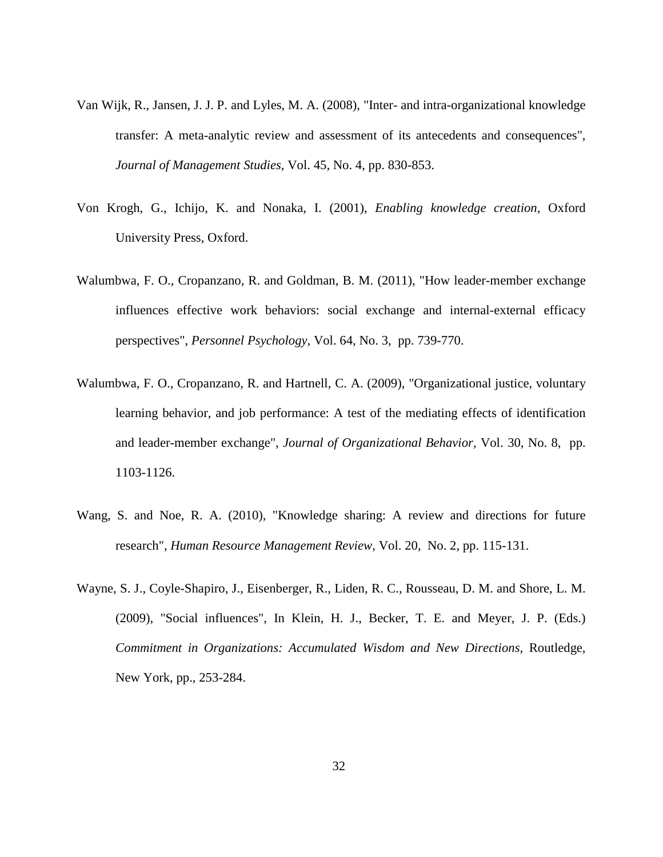- <span id="page-32-0"></span>Van Wijk, R., Jansen, J. J. P. and Lyles, M. A. (2008), "Inter- and intra-organizational knowledge transfer: A meta-analytic review and assessment of its antecedents and consequences", *Journal of Management Studies,* Vol. 45, No. 4, pp. 830-853.
- <span id="page-32-4"></span>Von Krogh, G., Ichijo, K. and Nonaka, I. (2001), *Enabling knowledge creation,* Oxford University Press, Oxford.
- <span id="page-32-2"></span>Walumbwa, F. O., Cropanzano, R. and Goldman, B. M. (2011), "How leader-member exchange influences effective work behaviors: social exchange and internal-external efficacy perspectives", *Personnel Psychology,* Vol. 64, No. 3, pp. 739-770.
- <span id="page-32-5"></span>Walumbwa, F. O., Cropanzano, R. and Hartnell, C. A. (2009), "Organizational justice, voluntary learning behavior, and job performance: A test of the mediating effects of identification and leader-member exchange", *Journal of Organizational Behavior,* Vol. 30, No. 8, pp. 1103-1126.
- <span id="page-32-1"></span>Wang, S. and Noe, R. A. (2010), "Knowledge sharing: A review and directions for future research", *Human Resource Management Review,* Vol. 20, No. 2, pp. 115-131.
- <span id="page-32-3"></span>Wayne, S. J., Coyle-Shapiro, J., Eisenberger, R., Liden, R. C., Rousseau, D. M. and Shore, L. M. (2009), "Social influences", In Klein, H. J., Becker, T. E. and Meyer, J. P. (Eds.) *Commitment in Organizations: Accumulated Wisdom and New Directions,* Routledge, New York, pp., 253-284.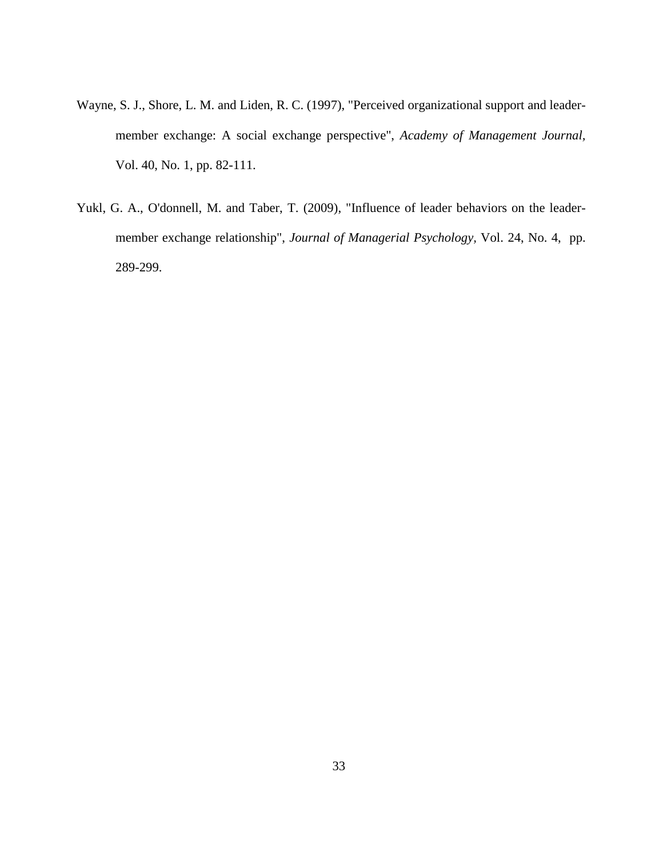- <span id="page-33-0"></span>Wayne, S. J., Shore, L. M. and Liden, R. C. (1997), "Perceived organizational support and leadermember exchange: A social exchange perspective", *Academy of Management Journal,* Vol. 40, No. 1, pp. 82-111.
- <span id="page-33-1"></span>Yukl, G. A., O'donnell, M. and Taber, T. (2009), "Influence of leader behaviors on the leadermember exchange relationship", *Journal of Managerial Psychology,* Vol. 24, No. 4, pp. 289-299.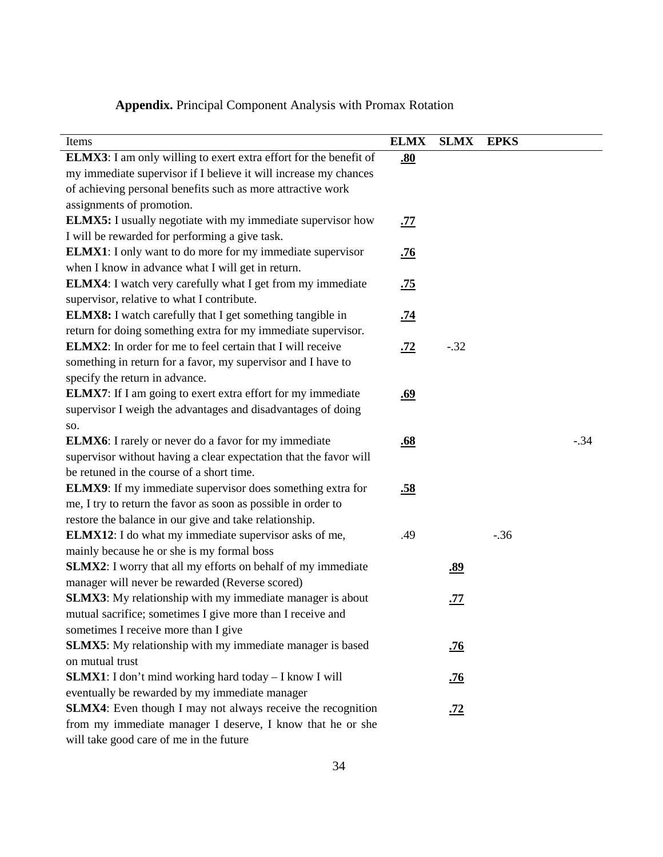## **Appendix.** Principal Component Analysis with Promax Rotation

| Items                                                                     | <b>ELMX</b> | <b>SLMX</b> | <b>EPKS</b> |        |
|---------------------------------------------------------------------------|-------------|-------------|-------------|--------|
| <b>ELMX3</b> : I am only willing to exert extra effort for the benefit of | .80         |             |             |        |
| my immediate supervisor if I believe it will increase my chances          |             |             |             |        |
| of achieving personal benefits such as more attractive work               |             |             |             |        |
| assignments of promotion.                                                 |             |             |             |        |
| <b>ELMX5:</b> I usually negotiate with my immediate supervisor how        | <u>.77</u>  |             |             |        |
| I will be rewarded for performing a give task.                            |             |             |             |        |
| <b>ELMX1</b> : I only want to do more for my immediate supervisor         | <u>.76</u>  |             |             |        |
| when I know in advance what I will get in return.                         |             |             |             |        |
| <b>ELMX4</b> : I watch very carefully what I get from my immediate        | <u>.75</u>  |             |             |        |
| supervisor, relative to what I contribute.                                |             |             |             |        |
| <b>ELMX8:</b> I watch carefully that I get something tangible in          | <u>.74</u>  |             |             |        |
| return for doing something extra for my immediate supervisor.             |             |             |             |        |
| <b>ELMX2:</b> In order for me to feel certain that I will receive         | <u>.72</u>  | $-.32$      |             |        |
| something in return for a favor, my supervisor and I have to              |             |             |             |        |
| specify the return in advance.                                            |             |             |             |        |
| <b>ELMX7</b> : If I am going to exert extra effort for my immediate       | <u>.69</u>  |             |             |        |
| supervisor I weigh the advantages and disadvantages of doing              |             |             |             |        |
| SO.                                                                       |             |             |             |        |
| <b>ELMX6</b> : I rarely or never do a favor for my immediate              | .68         |             |             | $-.34$ |
| supervisor without having a clear expectation that the favor will         |             |             |             |        |
| be retuned in the course of a short time.                                 |             |             |             |        |
| <b>ELMX9</b> : If my immediate supervisor does something extra for        | .58         |             |             |        |
| me, I try to return the favor as soon as possible in order to             |             |             |             |        |
| restore the balance in our give and take relationship.                    |             |             |             |        |
| <b>ELMX12:</b> I do what my immediate supervisor asks of me,              | .49         |             | $-.36$      |        |
| mainly because he or she is my formal boss                                |             |             |             |        |
| SLMX2: I worry that all my efforts on behalf of my immediate              |             | <u>.89</u>  |             |        |
| manager will never be rewarded (Reverse scored)                           |             |             |             |        |
| <b>SLMX3</b> : My relationship with my immediate manager is about         |             | <u>.77</u>  |             |        |
| mutual sacrifice; sometimes I give more than I receive and                |             |             |             |        |
| sometimes I receive more than I give                                      |             |             |             |        |
| <b>SLMX5</b> : My relationship with my immediate manager is based         |             | <u>.76</u>  |             |        |
| on mutual trust                                                           |             |             |             |        |
| <b>SLMX1</b> : I don't mind working hard today - I know I will            |             | <u>.76</u>  |             |        |
| eventually be rewarded by my immediate manager                            |             |             |             |        |
| SLMX4: Even though I may not always receive the recognition               |             | <u>.72</u>  |             |        |
| from my immediate manager I deserve, I know that he or she                |             |             |             |        |
| will take good care of me in the future                                   |             |             |             |        |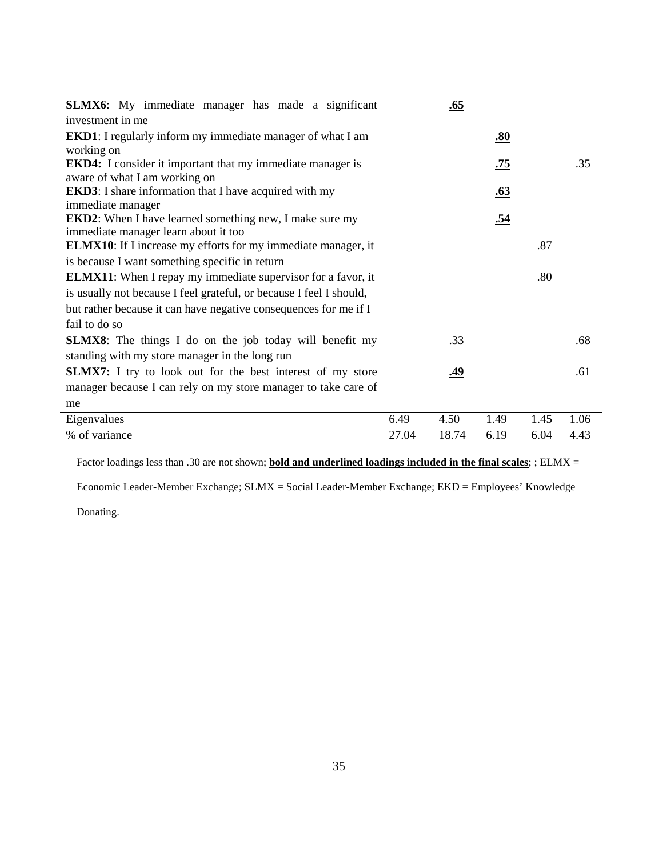| <b>SLMX6</b> : My immediate manager has made a significant                                              |            | <u>.65</u> |            |         |      |  |  |  |
|---------------------------------------------------------------------------------------------------------|------------|------------|------------|---------|------|--|--|--|
| investment in me                                                                                        |            |            |            |         |      |  |  |  |
| <b>EKD1</b> : I regularly inform my immediate manager of what I am                                      |            |            | <u>.80</u> |         |      |  |  |  |
| working on                                                                                              |            |            |            |         |      |  |  |  |
| <b>EKD4:</b> I consider it important that my immediate manager is                                       |            |            | <u>.75</u> |         | .35  |  |  |  |
| aware of what I am working on                                                                           |            |            |            |         |      |  |  |  |
| <b>EKD3</b> : I share information that I have acquired with my                                          |            |            | <u>.63</u> |         |      |  |  |  |
| immediate manager                                                                                       |            |            |            |         |      |  |  |  |
| <b>EKD2</b> : When I have learned something new, I make sure my<br>immediate manager learn about it too |            |            | <u>.54</u> |         |      |  |  |  |
| <b>ELMX10</b> : If I increase my efforts for my immediate manager, it                                   |            | .87        |            |         |      |  |  |  |
| is because I want something specific in return                                                          |            |            |            |         |      |  |  |  |
| <b>ELMX11:</b> When I repay my immediate supervisor for a favor, it                                     |            |            |            | $.80\,$ |      |  |  |  |
|                                                                                                         |            |            |            |         |      |  |  |  |
| is usually not because I feel grateful, or because I feel I should,                                     |            |            |            |         |      |  |  |  |
| but rather because it can have negative consequences for me if I                                        |            |            |            |         |      |  |  |  |
| fail to do so                                                                                           |            |            |            |         |      |  |  |  |
| .33<br><b>SLMX8</b> : The things I do on the job today will benefit my                                  |            |            |            |         |      |  |  |  |
| standing with my store manager in the long run                                                          |            |            |            |         |      |  |  |  |
| <b>SLMX7:</b> I try to look out for the best interest of my store                                       | <u>.49</u> |            |            |         |      |  |  |  |
| manager because I can rely on my store manager to take care of                                          |            |            |            |         |      |  |  |  |
| me                                                                                                      |            |            |            |         |      |  |  |  |
| Eigenvalues                                                                                             | 6.49       | 4.50       | 1.49       | 1.45    | 1.06 |  |  |  |
| % of variance                                                                                           | 27.04      | 18.74      | 6.19       | 6.04    | 4.43 |  |  |  |

Factor loadings less than .30 are not shown; **bold and underlined loadings included in the final scales**; ; ELMX =

Economic Leader-Member Exchange; SLMX = Social Leader-Member Exchange; EKD = Employees' Knowledge

Donating.

 $\overline{a}$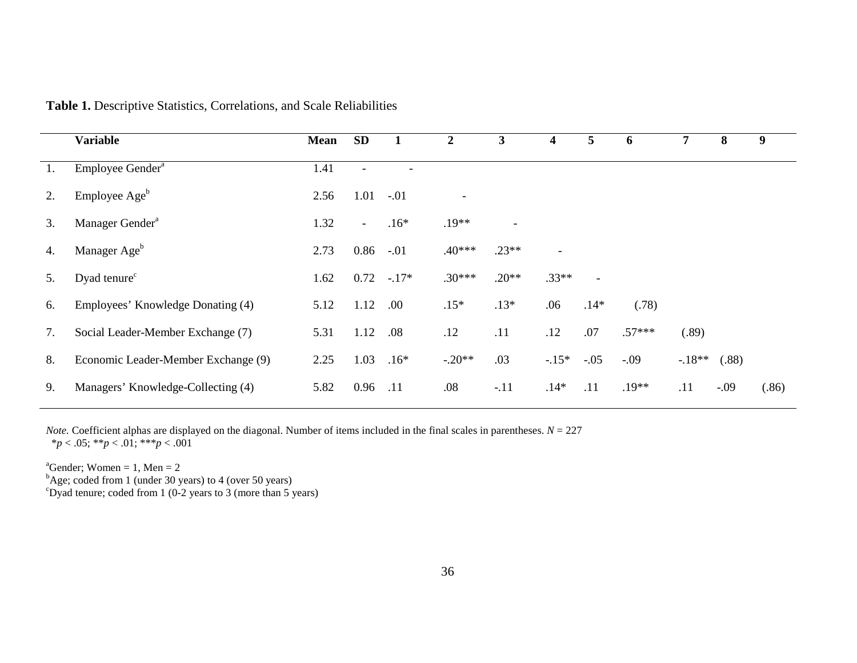|    | <b>Variable</b>                     | <b>Mean</b> | <b>SD</b>                |        | $\boldsymbol{2}$         | $\mathbf{3}$ | 4              | 5                        | 6        | 7       | 8      | 9     |
|----|-------------------------------------|-------------|--------------------------|--------|--------------------------|--------------|----------------|--------------------------|----------|---------|--------|-------|
| 1. | Employee Gender <sup>a</sup>        | 1.41        |                          |        |                          |              |                |                          |          |         |        |       |
| 2. | Employee Age <sup>b</sup>           | 2.56        | 1.01                     | $-.01$ | $\overline{\phantom{a}}$ |              |                |                          |          |         |        |       |
| 3. | Manager Gender <sup>a</sup>         | 1.32        | $\overline{\phantom{a}}$ | $.16*$ | $.19**$                  |              |                |                          |          |         |        |       |
| 4. | Manager Age <sup>b</sup>            | 2.73        | 0.86                     | $-.01$ | $.40***$                 | $.23**$      | $\blacksquare$ |                          |          |         |        |       |
| 5. | Dyad tenure <sup>c</sup>            | 1.62        | $0.72 - 17*$             |        | $.30***$                 | $.20**$      | $.33**$        | $\overline{\phantom{a}}$ |          |         |        |       |
| 6. | Employees' Knowledge Donating (4)   | 5.12        | 1.12                     | .00.   | $.15*$                   | $.13*$       | .06            | $.14*$                   | (.78)    |         |        |       |
| 7. | Social Leader-Member Exchange (7)   | 5.31        | 1.12                     | .08    | .12                      | .11          | .12            | .07                      | $.57***$ | (.89)   |        |       |
| 8. | Economic Leader-Member Exchange (9) | 2.25        | 1.03                     | $.16*$ | $-.20**$                 | .03          | $-.15*$        | $-.05$                   | $-.09$   | $-18**$ | (.88)  |       |
| 9. | Managers' Knowledge-Collecting (4)  | 5.82        | 0.96                     | .11    | .08                      | $-.11$       | $.14*$         | .11                      | $.19**$  | .11     | $-.09$ | (.86) |

**Table 1.** Descriptive Statistics, Correlations, and Scale Reliabilities

*Note.* Coefficient alphas are displayed on the diagonal. Number of items included in the final scales in parentheses.  $N = 227$ \**p* < .05; \*\**p* < .01; \*\*\**p* < .001

<sup>a</sup>Gender; Women = 1, Men = 2<br>
<sup>b</sup>Age; coded from 1 (under 30 years) to 4 (over 50 years)<br>
<sup>c</sup>Dyad tenure; coded from 1 (0-2 years to 3 (more than 5 years)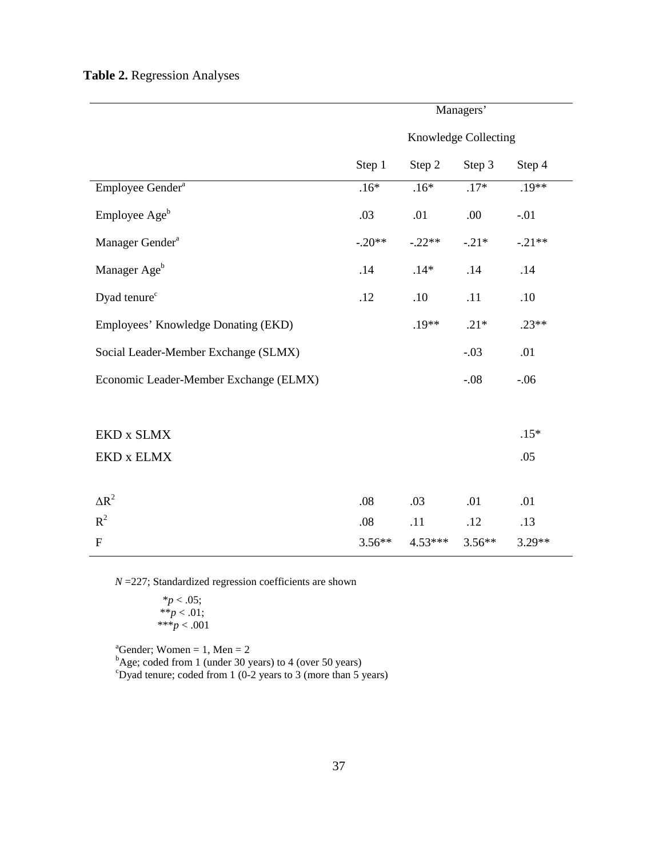### **Table 2.** Regression Analyses

|                                        | Managers'            |           |          |          |  |  |
|----------------------------------------|----------------------|-----------|----------|----------|--|--|
|                                        | Knowledge Collecting |           |          |          |  |  |
|                                        | Step 1               | Step 2    | Step 3   | Step 4   |  |  |
| Employee Gender <sup>a</sup>           | $.16*$               | $.16*$    | $.17*$   | $.19**$  |  |  |
| Employee Age <sup>b</sup>              | .03                  | .01       | .00.     | $-.01$   |  |  |
| Manager Gender <sup>a</sup>            | $-.20**$             | $-.22**$  | $-.21*$  | $-.21**$ |  |  |
| Manager Age <sup>b</sup>               | .14                  | $.14*$    | .14      | .14      |  |  |
| Dyad tenure <sup>c</sup>               | .12                  | .10       | .11      | .10      |  |  |
| Employees' Knowledge Donating (EKD)    |                      | $.19**$   | $.21*$   | $.23**$  |  |  |
| Social Leader-Member Exchange (SLMX)   |                      |           | $-.03$   | .01      |  |  |
| Economic Leader-Member Exchange (ELMX) |                      |           | $-.08$   | $-.06$   |  |  |
|                                        |                      |           |          |          |  |  |
| EKD x SLMX                             |                      |           |          | $.15*$   |  |  |
| EKD x ELMX                             |                      |           |          | .05      |  |  |
|                                        |                      |           |          |          |  |  |
| $\Delta R^2$                           | .08                  | .03       | .01      | .01      |  |  |
| $\mathbb{R}^2$                         | .08                  | .11       | .12      | .13      |  |  |
| $\overline{F}$                         | $3.56**$             | $4.53***$ | $3.56**$ | 3.29**   |  |  |

*N* = 227; Standardized regression coefficients are shown

 \**p* < .05; \*\**p* < .01; \*\*\**p* < .001

<sup>a</sup>Gender; Women = 1, Men = 2<br><sup>b</sup>Age; coded from 1 (under 30 years) to 4 (over 50 years)<br><sup>c</sup>Dyad tenure; coded from 1 (0-2 years to 3 (more than 5 years)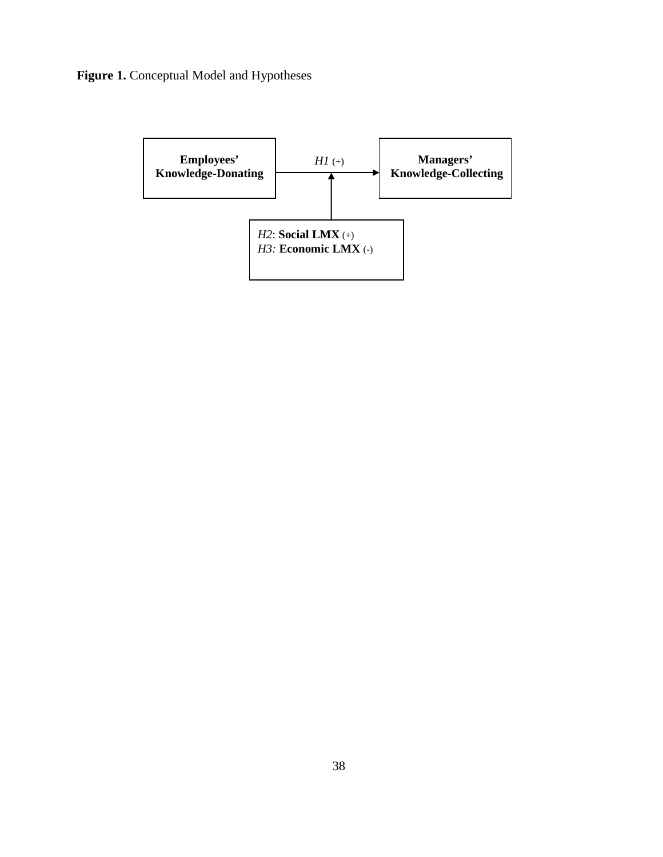## Figure 1. Conceptual Model and Hypotheses